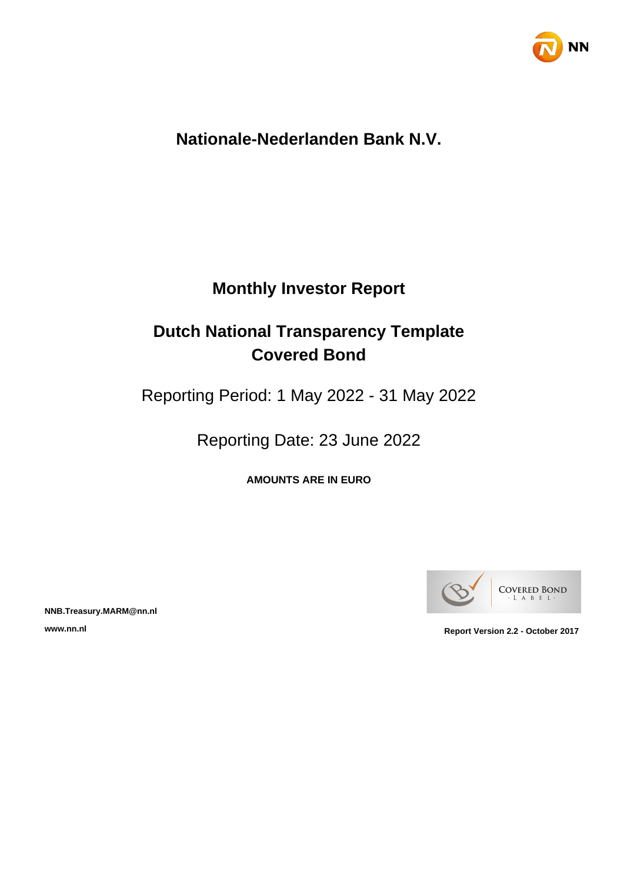

# **Nationale-Nederlanden Bank N.V.**

# **Monthly Investor Report**

# **Dutch National Transparency Template Covered Bond**

Reporting Period: 1 May 2022 - 31 May 2022

Reporting Date: 23 June 2022

**AMOUNTS ARE IN EURO**



**NNB.Treasury.MARM@nn.nl**

**www.nn.nl Report Version 2.2 - October 2017**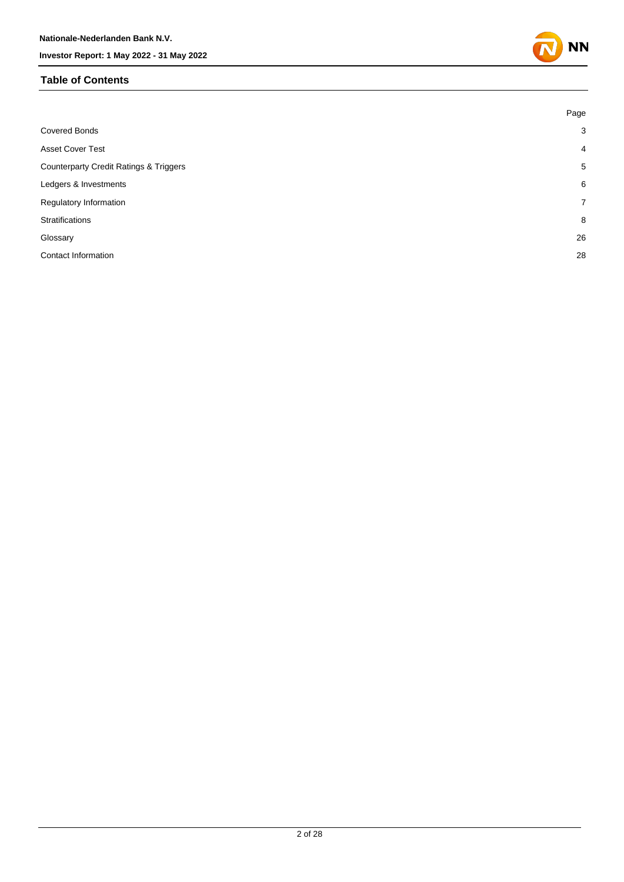#### **Table of Contents**



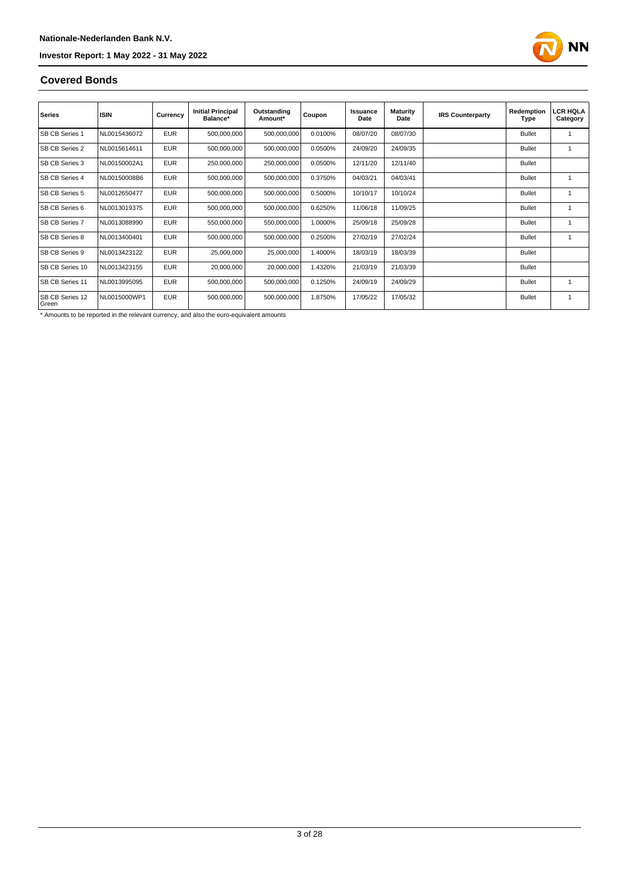

#### **Covered Bonds**

| <b>Series</b>            | <b>ISIN</b>  | Currency   | <b>Initial Principal</b><br>Balance* | Outstanding<br>Amount* | Coupon  | Issuance<br>Date | <b>Maturity</b><br>Date | <b>IRS Counterparty</b> | Redemption<br>Type | <b>LCR HQLA</b><br>Category |
|--------------------------|--------------|------------|--------------------------------------|------------------------|---------|------------------|-------------------------|-------------------------|--------------------|-----------------------------|
| SB CB Series 1           | NL0015436072 | <b>EUR</b> | 500,000,000                          | 500,000,000            | 0.0100% | 08/07/20         | 08/07/30                |                         | <b>Bullet</b>      |                             |
| <b>SB CB Series 2</b>    | NL0015614611 | <b>EUR</b> | 500,000,000                          | 500,000,000            | 0.0500% | 24/09/20         | 24/09/35                |                         | <b>Bullet</b>      | 1                           |
| <b>SB CB Series 3</b>    | NL00150002A1 | <b>EUR</b> | 250,000,000                          | 250,000,000            | 0.0500% | 12/11/20         | 12/11/40                |                         | <b>Bullet</b>      |                             |
| <b>SB CB Series 4</b>    | NL00150008B6 | <b>EUR</b> | 500,000,000                          | 500,000,000            | 0.3750% | 04/03/21         | 04/03/41                |                         | <b>Bullet</b>      | 1                           |
| SB CB Series 5           | NL0012650477 | <b>EUR</b> | 500,000,000                          | 500,000,000            | 0.5000% | 10/10/17         | 10/10/24                |                         | <b>Bullet</b>      | 1                           |
| <b>SB CB Series 6</b>    | NL0013019375 | <b>EUR</b> | 500,000,000                          | 500,000,000            | 0.6250% | 11/06/18         | 11/09/25                |                         | <b>Bullet</b>      | 1                           |
| <b>SB CB Series 7</b>    | NL0013088990 | <b>EUR</b> | 550,000,000                          | 550,000,000            | 1.0000% | 25/09/18         | 25/09/28                |                         | <b>Bullet</b>      | 1                           |
| <b>SB CB Series 8</b>    | NL0013400401 | <b>EUR</b> | 500,000,000                          | 500,000,000            | 0.2500% | 27/02/19         | 27/02/24                |                         | <b>Bullet</b>      | 1                           |
| SB CB Series 9           | NL0013423122 | <b>EUR</b> | 25,000,000                           | 25,000,000             | 1.4000% | 18/03/19         | 18/03/39                |                         | <b>Bullet</b>      |                             |
| SB CB Series 10          | NL0013423155 | <b>EUR</b> | 20,000,000                           | 20,000,000             | 1.4320% | 21/03/19         | 21/03/39                |                         | <b>Bullet</b>      |                             |
| SB CB Series 11          | NL0013995095 | <b>EUR</b> | 500,000,000                          | 500,000,000            | 0.1250% | 24/09/19         | 24/09/29                |                         | <b>Bullet</b>      | 1                           |
| SB CB Series 12<br>Green | NL0015000WP1 | <b>EUR</b> | 500,000,000                          | 500,000,000            | 1.8750% | 17/05/22         | 17/05/32                |                         | <b>Bullet</b>      | 1                           |

\* Amounts to be reported in the relevant currency, and also the euro-equivalent amounts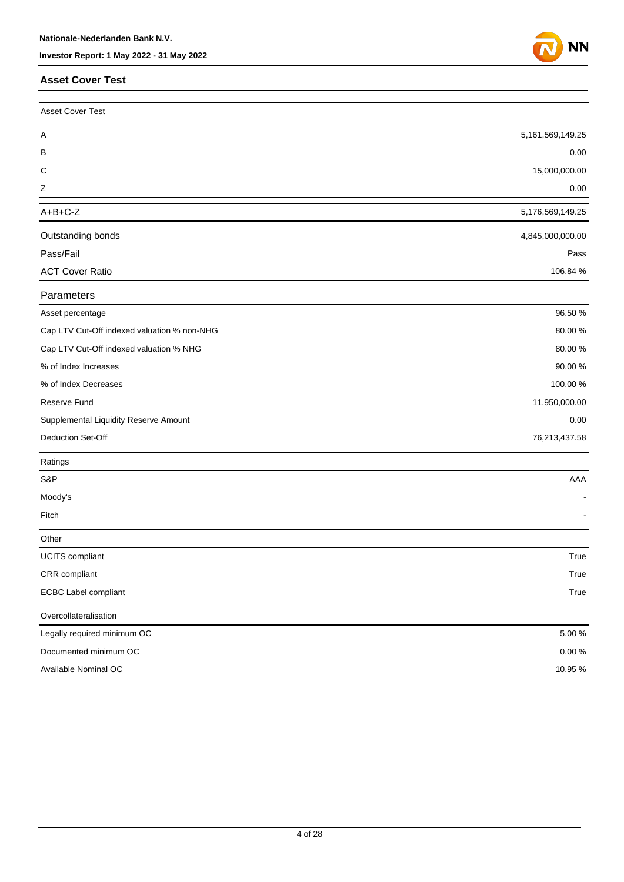#### **Asset Cover Test**



| <b>Asset Cover Test</b>                     |                      |
|---------------------------------------------|----------------------|
| A                                           | 5, 161, 569, 149. 25 |
| в                                           | 0.00                 |
| C                                           | 15,000,000.00        |
| Ζ                                           | 0.00                 |
| $A+B+C-Z$                                   | 5,176,569,149.25     |
| Outstanding bonds                           | 4,845,000,000.00     |
| Pass/Fail                                   | Pass                 |
| <b>ACT Cover Ratio</b>                      | 106.84 %             |
| Parameters                                  |                      |
| Asset percentage                            | 96.50 %              |
| Cap LTV Cut-Off indexed valuation % non-NHG | 80.00%               |
| Cap LTV Cut-Off indexed valuation % NHG     | 80.00%               |
| % of Index Increases                        | 90.00%               |
| % of Index Decreases                        | 100.00 %             |
| <b>Reserve Fund</b>                         | 11,950,000.00        |
| Supplemental Liquidity Reserve Amount       | 0.00                 |
| Deduction Set-Off                           | 76,213,437.58        |
| Ratings                                     |                      |
| S&P                                         | AAA                  |
| Moody's                                     |                      |
| Fitch                                       |                      |
| Other                                       |                      |
| <b>UCITS</b> compliant                      | True                 |
| CRR compliant                               | True                 |
| ECBC Label compliant                        | True                 |
| Overcollateralisation                       |                      |
| Legally required minimum OC                 | 5.00 %               |
| Documented minimum OC                       | $0.00\,\%$           |
| Available Nominal OC                        | 10.95%               |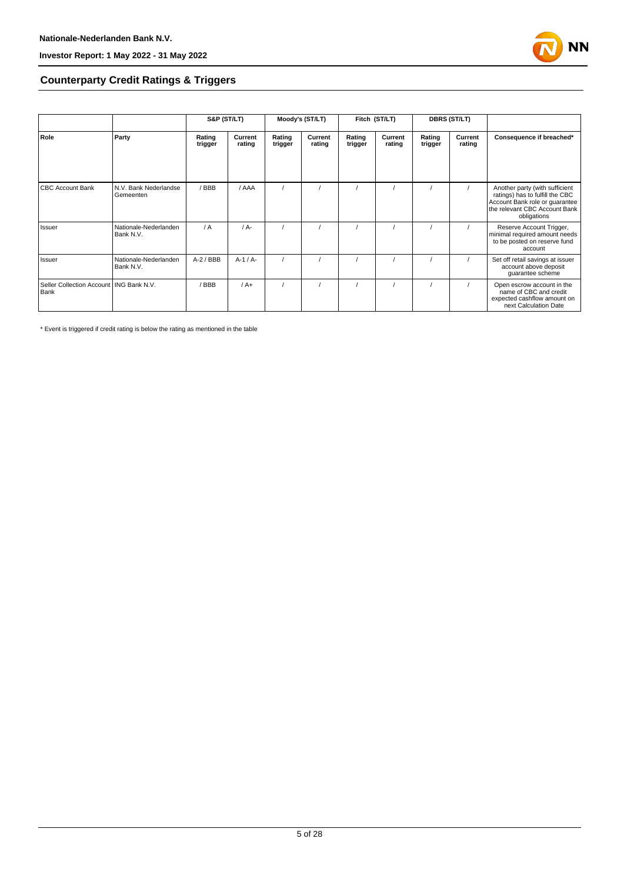

#### **Counterparty Credit Ratings & Triggers**

|                                                   |                                    | S&P (ST/LT)       |                   | Moody's (ST/LT)   |                   | Fitch (ST/LT)     |                   | <b>DBRS (ST/LT)</b> |                   |                                                                                                                                                     |  |
|---------------------------------------------------|------------------------------------|-------------------|-------------------|-------------------|-------------------|-------------------|-------------------|---------------------|-------------------|-----------------------------------------------------------------------------------------------------------------------------------------------------|--|
| Role                                              | Party                              | Rating<br>trigger | Current<br>rating | Rating<br>trigger | Current<br>rating | Rating<br>trigger | Current<br>rating | Rating<br>trigger   | Current<br>rating | Consequence if breached*                                                                                                                            |  |
| <b>CBC Account Bank</b>                           | N.V. Bank Nederlandse<br>Gemeenten | / BBB             | / AAA             |                   |                   |                   |                   |                     |                   | Another party (with sufficient<br>ratings) has to fulfill the CBC<br>Account Bank role or guarantee<br>the relevant CBC Account Bank<br>obligations |  |
| Issuer                                            | Nationale-Nederlanden<br>Bank N.V. | $\sqrt{A}$        | $/A -$            |                   |                   |                   |                   |                     |                   | Reserve Account Trigger,<br>minimal required amount needs<br>to be posted on reserve fund<br>account                                                |  |
| Issuer                                            | Nationale-Nederlanden<br>Bank N.V. | $A-2$ / BBB       | $A-1/A-$          |                   |                   |                   |                   |                     |                   | Set off retail savings at issuer<br>account above deposit<br>guarantee scheme                                                                       |  |
| Seller Collection Account   ING Bank N.V.<br>Bank |                                    | BBB               | $/A+$             |                   |                   |                   |                   |                     |                   | Open escrow account in the<br>name of CBC and credit<br>expected cashflow amount on<br>next Calculation Date                                        |  |

\* Event is triggered if credit rating is below the rating as mentioned in the table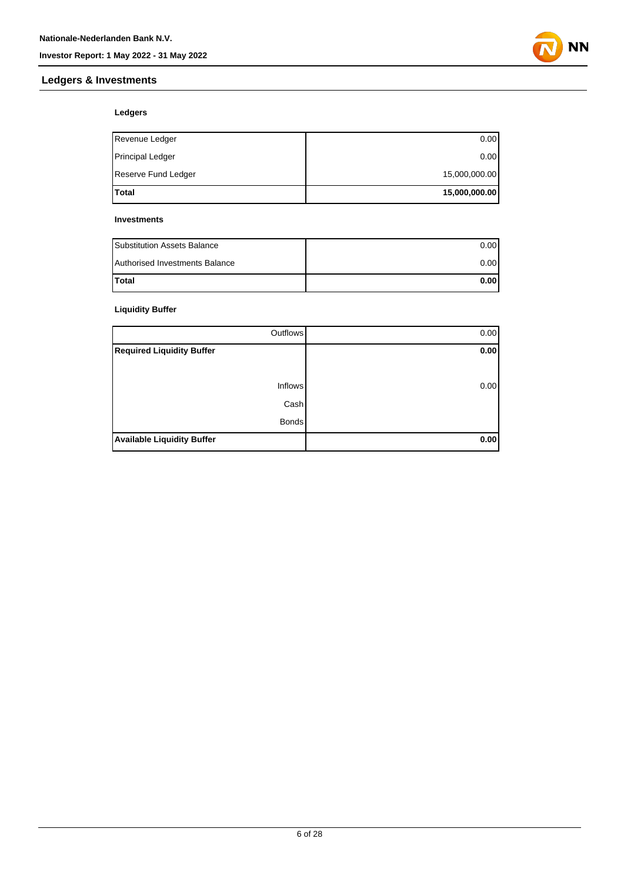#### **Ledgers & Investments**



#### **Ledgers**

| Total               | 15,000,000.00 |
|---------------------|---------------|
| Reserve Fund Ledger | 15,000,000.00 |
| Principal Ledger    | 0.00          |
| Revenue Ledger      | 0.00          |

#### **Investments**

| <b>Substitution Assets Balance</b> | 0.001 |
|------------------------------------|-------|
| Authorised Investments Balance     | 0.001 |
| <b>Total</b>                       | 0.001 |

#### **Liquidity Buffer**

| Outflows                          | 0.00 |
|-----------------------------------|------|
| <b>Required Liquidity Buffer</b>  | 0.00 |
|                                   |      |
| <b>Inflows</b>                    | 0.00 |
| Cash                              |      |
| <b>Bonds</b>                      |      |
| <b>Available Liquidity Buffer</b> | 0.00 |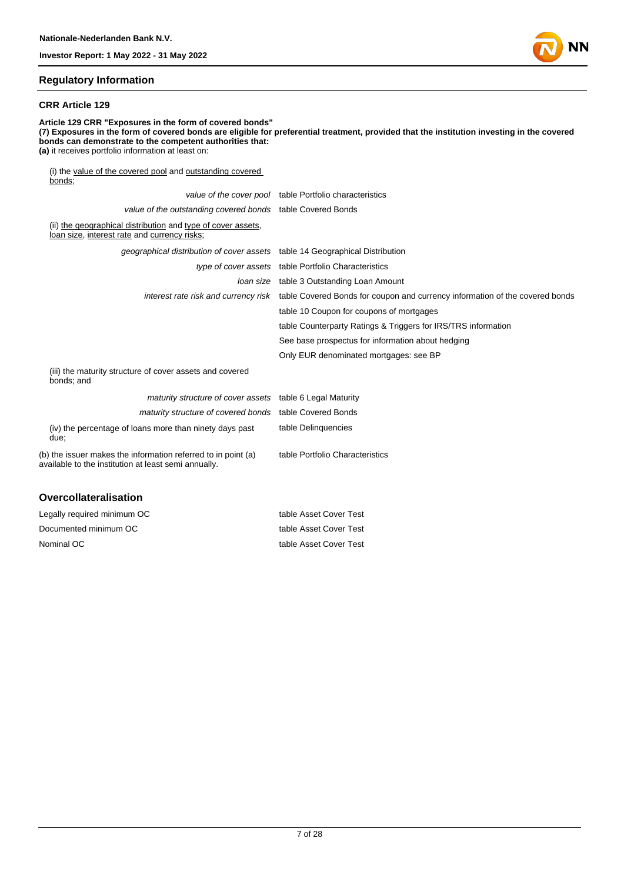

#### **Regulatory Information**

#### **CRR Article 129**

**Article 129 CRR "Exposures in the form of covered bonds" (7) Exposures in the form of covered bonds are eligible for preferential treatment, provided that the institution investing in the covered bonds can demonstrate to the competent authorities that: (a)** it receives portfolio information at least on: (i) the value of the covered pool and outstanding covered bonds;

|                                                                                                                       | value of the cover pool table Portfolio characteristics                                                           |
|-----------------------------------------------------------------------------------------------------------------------|-------------------------------------------------------------------------------------------------------------------|
| value of the outstanding covered bonds table Covered Bonds                                                            |                                                                                                                   |
| (ii) the geographical distribution and type of cover assets,<br>loan size, interest rate and currency risks;          |                                                                                                                   |
| geographical distribution of cover assets table 14 Geographical Distribution                                          |                                                                                                                   |
|                                                                                                                       | type of cover assets table Portfolio Characteristics                                                              |
|                                                                                                                       | <i>loan size</i> table 3 Outstanding Loan Amount                                                                  |
|                                                                                                                       | interest rate risk and currency risk table Covered Bonds for coupon and currency information of the covered bonds |
|                                                                                                                       | table 10 Coupon for coupons of mortgages                                                                          |
|                                                                                                                       | table Counterparty Ratings & Triggers for IRS/TRS information                                                     |
|                                                                                                                       | See base prospectus for information about hedging                                                                 |
|                                                                                                                       | Only EUR denominated mortgages: see BP                                                                            |
| (iii) the maturity structure of cover assets and covered<br>bonds; and                                                |                                                                                                                   |
| maturity structure of cover assets table 6 Legal Maturity                                                             |                                                                                                                   |
| maturity structure of covered bonds table Covered Bonds                                                               |                                                                                                                   |
| (iv) the percentage of loans more than ninety days past<br>due:                                                       | table Delinquencies                                                                                               |
| (b) the issuer makes the information referred to in point (a)<br>available to the institution at least semi annually. | table Portfolio Characteristics                                                                                   |
| <b>Overcollateralisation</b>                                                                                          |                                                                                                                   |

| Legally required minimum OC | table Asset Cover Test |
|-----------------------------|------------------------|
| Documented minimum OC       | table Asset Cover Test |
| Nominal OC                  | table Asset Cover Test |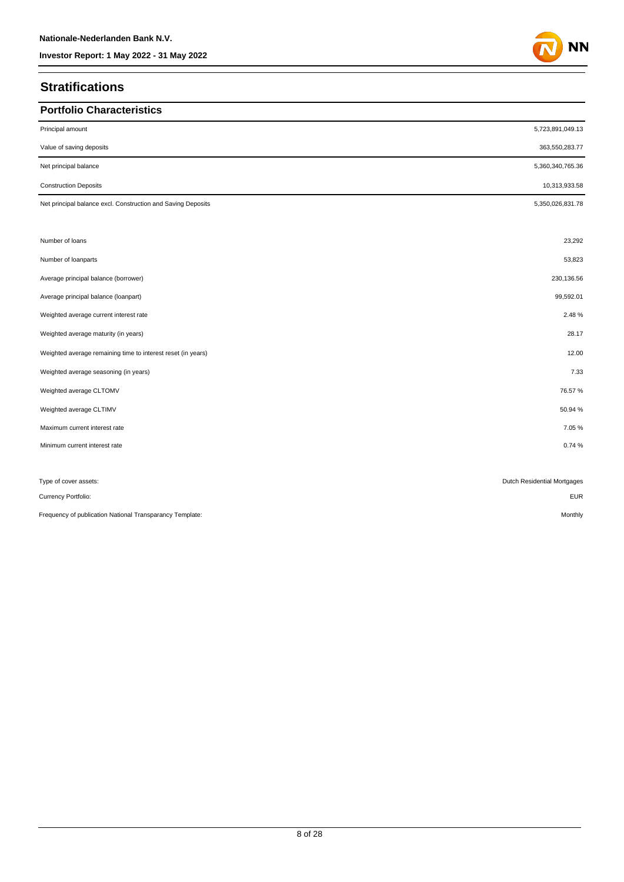### **Stratifications**

| <b>Portfolio Characteristics</b>                             |                             |
|--------------------------------------------------------------|-----------------------------|
| Principal amount                                             | 5,723,891,049.13            |
| Value of saving deposits                                     | 363,550,283.77              |
| Net principal balance                                        | 5,360,340,765.36            |
| <b>Construction Deposits</b>                                 | 10,313,933.58               |
| Net principal balance excl. Construction and Saving Deposits | 5,350,026,831.78            |
|                                                              |                             |
| Number of loans                                              | 23,292                      |
| Number of loanparts                                          | 53,823                      |
| Average principal balance (borrower)                         | 230,136.56                  |
| Average principal balance (loanpart)                         | 99,592.01                   |
| Weighted average current interest rate                       | 2.48%                       |
| Weighted average maturity (in years)                         | 28.17                       |
| Weighted average remaining time to interest reset (in years) | 12.00                       |
| Weighted average seasoning (in years)                        | 7.33                        |
| Weighted average CLTOMV                                      | 76.57%                      |
| Weighted average CLTIMV                                      | 50.94 %                     |
| Maximum current interest rate                                | 7.05%                       |
| Minimum current interest rate                                | 0.74%                       |
|                                                              |                             |
| Type of cover assets:                                        | Dutch Residential Mortgages |
| Currency Portfolio:                                          | <b>EUR</b>                  |
| Frequency of publication National Transparancy Template:     | Monthly                     |

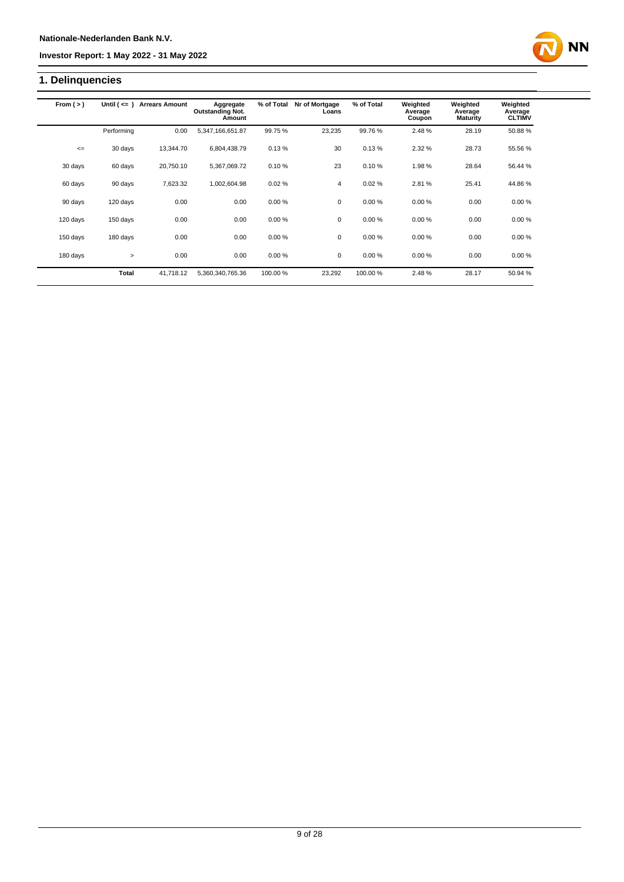### **1. Delinquencies**

| From $(>)$ | Until $($ $\leq$ $=$ $)$ | <b>Arrears Amount</b> | Aggregate                         | % of Total | Nr of Mortgage | % of Total | Weighted          | Weighted                   | Weighted                 |
|------------|--------------------------|-----------------------|-----------------------------------|------------|----------------|------------|-------------------|----------------------------|--------------------------|
|            |                          |                       | <b>Outstanding Not.</b><br>Amount |            | Loans          |            | Average<br>Coupon | Average<br><b>Maturity</b> | Average<br><b>CLTIMV</b> |
|            | Performing               | 0.00                  | 5,347,166,651.87                  | 99.75%     | 23,235         | 99.76%     | 2.48%             | 28.19                      | 50.88%                   |
| $\leq$     | 30 days                  | 13.344.70             | 6,804,438.79                      | 0.13%      | 30             | 0.13%      | 2.32%             | 28.73                      | 55.56 %                  |
| 30 days    | 60 days                  | 20,750.10             | 5,367,069.72                      | 0.10%      | 23             | 0.10%      | 1.98%             | 28.64                      | 56.44 %                  |
| 60 days    | 90 days                  | 7,623.32              | 1,002,604.98                      | 0.02%      | 4              | 0.02%      | 2.81%             | 25.41                      | 44.86%                   |
| 90 days    | 120 days                 | 0.00                  | 0.00                              | 0.00%      | $\mathbf 0$    | 0.00%      | 0.00%             | 0.00                       | 0.00%                    |
| 120 days   | 150 days                 | 0.00                  | 0.00                              | 0.00%      | $\mathbf 0$    | 0.00%      | 0.00%             | 0.00                       | 0.00%                    |
| 150 days   | 180 days                 | 0.00                  | 0.00                              | 0.00%      | 0              | 0.00%      | 0.00%             | 0.00                       | 0.00%                    |
| 180 days   | $\geq$                   | 0.00                  | 0.00                              | 0.00%      | $\mathbf 0$    | 0.00%      | 0.00%             | 0.00                       | 0.00%                    |
|            | <b>Total</b>             | 41.718.12             | 5,360,340,765.36                  | 100.00%    | 23,292         | 100.00%    | 2.48%             | 28.17                      | 50.94 %                  |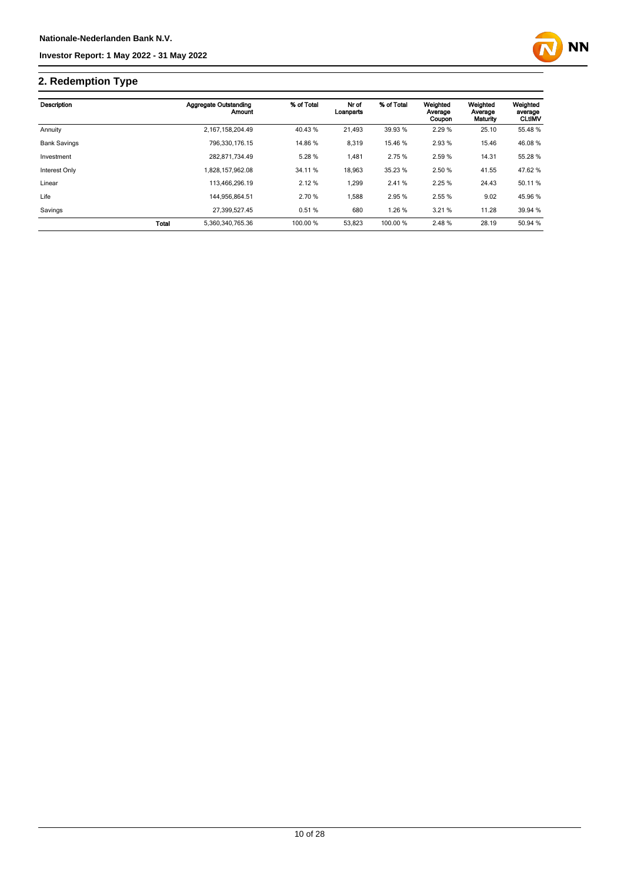

# **2. Redemption Type**

| Description         |       | <b>Aggregate Outstanding</b><br>Amount | % of Total | Nr of<br>Loanparts | % of Total | Weighted<br>Average<br>Coupon | Weighted<br>Average<br>Maturity | Weighted<br>average<br><b>CLtIMV</b> |
|---------------------|-------|----------------------------------------|------------|--------------------|------------|-------------------------------|---------------------------------|--------------------------------------|
| Annuity             |       | 2.167.158.204.49                       | 40.43 %    | 21.493             | 39.93 %    | 2.29%                         | 25.10                           | 55.48 %                              |
| <b>Bank Savings</b> |       | 796.330.176.15                         | 14.86 %    | 8,319              | 15.46 %    | 2.93 %                        | 15.46                           | 46.08%                               |
| Investment          |       | 282.871.734.49                         | 5.28 %     | 1.481              | 2.75 %     | 2.59 %                        | 14.31                           | 55.28 %                              |
| Interest Only       |       | 1.828.157.962.08                       | 34.11 %    | 18.963             | 35.23 %    | 2.50 %                        | 41.55                           | 47.62 %                              |
| Linear              |       | 113.466.296.19                         | 2.12%      | 1.299              | 2.41%      | 2.25%                         | 24.43                           | 50.11 %                              |
| Life                |       | 144.956.864.51                         | 2.70 %     | .588               | 2.95 %     | 2.55 %                        | 9.02                            | 45.96 %                              |
| Savings             |       | 27.399.527.45                          | 0.51%      | 680                | 1.26 %     | 3.21%                         | 11.28                           | 39.94 %                              |
|                     | Total | 5,360,340,765.36                       | 100.00 %   | 53,823             | 100.00 %   | 2.48%                         | 28.19                           | 50.94 %                              |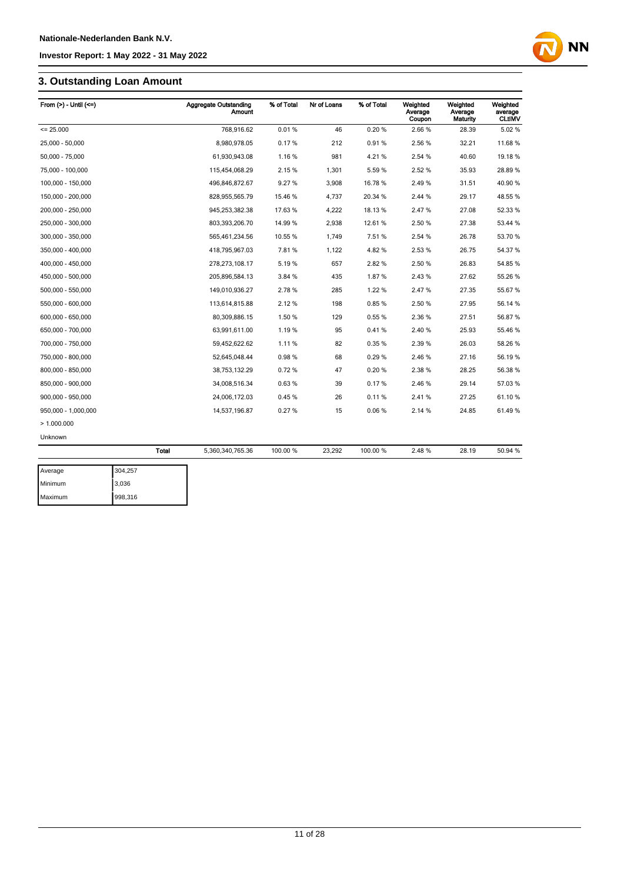### **3. Outstanding Loan Amount**

| From $(>)$ - Until $(<=)$ |         | <b>Aggregate Outstanding</b><br><b>Amount</b> | % of Total | Nr of Loans | % of Total | Weighted<br>Average<br>Coupon | Weighted<br>Average<br>Maturity | Weighted<br>average<br><b>CLUMV</b> |
|---------------------------|---------|-----------------------------------------------|------------|-------------|------------|-------------------------------|---------------------------------|-------------------------------------|
| $= 25.000$                |         | 768,916.62                                    | 0.01%      | 46          | 0.20%      | 2.66%                         | 28.39                           | 5.02%                               |
| 25,000 - 50,000           |         | 8,980,978.05                                  | 0.17%      | 212         | 0.91%      | 2.56 %                        | 32.21                           | 11.68 %                             |
| 50,000 - 75,000           |         | 61,930,943.08                                 | 1.16%      | 981         | 4.21%      | 2.54 %                        | 40.60                           | 19.18 %                             |
| 75,000 - 100,000          |         | 115,454,068.29                                | 2.15%      | 1,301       | 5.59%      | 2.52 %                        | 35.93                           | 28.89 %                             |
| 100,000 - 150,000         |         | 496,846,872.67                                | 9.27%      | 3,908       | 16.78%     | 2.49%                         | 31.51                           | 40.90 %                             |
| 150,000 - 200,000         |         | 828,955,565.79                                | 15.46 %    | 4,737       | 20.34 %    | 2.44 %                        | 29.17                           | 48.55 %                             |
| 200,000 - 250,000         |         | 945,253,382.38                                | 17.63 %    | 4,222       | 18.13%     | 2.47%                         | 27.08                           | 52.33 %                             |
| 250,000 - 300,000         |         | 803,393,206.70                                | 14.99 %    | 2,938       | 12.61%     | 2.50 %                        | 27.38                           | 53.44 %                             |
| 300,000 - 350,000         |         | 565,461,234.56                                | 10.55 %    | 1,749       | 7.51%      | 2.54 %                        | 26.78                           | 53.70 %                             |
| 350,000 - 400,000         |         | 418,795,967.03                                | 7.81%      | 1,122       | 4.82%      | 2.53%                         | 26.75                           | 54.37 %                             |
| 400.000 - 450.000         |         | 278,273,108.17                                | 5.19%      | 657         | 2.82%      | 2.50 %                        | 26.83                           | 54.85 %                             |
| 450,000 - 500,000         |         | 205,896,584.13                                | 3.84 %     | 435         | 1.87%      | 2.43%                         | 27.62                           | 55.26 %                             |
| 500,000 - 550,000         |         | 149,010,936.27                                | 2.78%      | 285         | 1.22 %     | 2.47%                         | 27.35                           | 55.67 %                             |
| 550,000 - 600,000         |         | 113,614,815.88                                | 2.12%      | 198         | 0.85%      | 2.50 %                        | 27.95                           | 56.14 %                             |
| 600,000 - 650,000         |         | 80,309,886.15                                 | 1.50 %     | 129         | 0.55%      | 2.36 %                        | 27.51                           | 56.87%                              |
| 650,000 - 700,000         |         | 63,991,611.00                                 | 1.19%      | 95          | 0.41%      | 2.40%                         | 25.93                           | 55.46 %                             |
| 700,000 - 750,000         |         | 59,452,622.62                                 | 1.11%      | 82          | 0.35%      | 2.39%                         | 26.03                           | 58.26 %                             |
| 750,000 - 800,000         |         | 52,645,048.44                                 | 0.98%      | 68          | 0.29%      | 2.46 %                        | 27.16                           | 56.19%                              |
| 800.000 - 850.000         |         | 38,753,132.29                                 | 0.72%      | 47          | 0.20%      | 2.38%                         | 28.25                           | 56.38 %                             |
| 850,000 - 900,000         |         | 34,008,516.34                                 | 0.63%      | 39          | 0.17%      | 2.46 %                        | 29.14                           | 57.03 %                             |
| 900,000 - 950,000         |         | 24,006,172.03                                 | 0.45%      | 26          | 0.11%      | 2.41%                         | 27.25                           | 61.10%                              |
| 950,000 - 1,000,000       |         | 14,537,196.87                                 | 0.27%      | 15          | 0.06%      | 2.14 %                        | 24.85                           | 61.49%                              |
| >1.000.000                |         |                                               |            |             |            |                               |                                 |                                     |
| Unknown                   |         |                                               |            |             |            |                               |                                 |                                     |
|                           | Total   | 5,360,340,765.36                              | 100.00 %   | 23,292      | 100.00 %   | 2.48%                         | 28.19                           | 50.94 %                             |
| Average                   | 304,257 |                                               |            |             |            |                               |                                 |                                     |

| Average | 304,257 |
|---------|---------|
| Minimum | 3,036   |
| Maximum | 998,316 |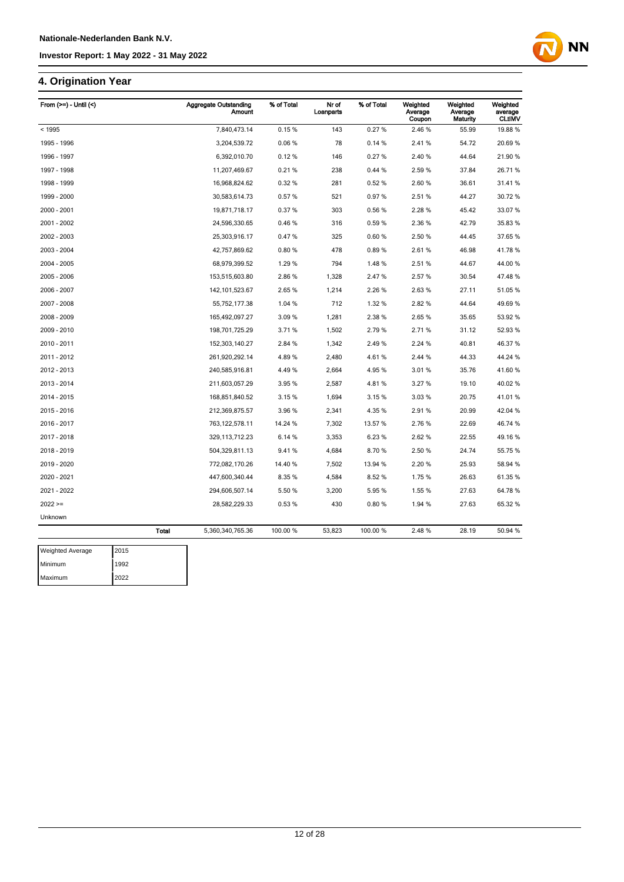### **4. Origination Year**

| From (>=) - Until (<) |              | <b>Aggregate Outstanding</b><br><b>Amount</b> | % of Total | Nr of<br>Loanparts | % of Total | Weighted<br>Average<br>Coupon | Weighted<br>Average<br>Maturity | Weighted<br>average<br><b>CLtIMV</b> |
|-----------------------|--------------|-----------------------------------------------|------------|--------------------|------------|-------------------------------|---------------------------------|--------------------------------------|
| < 1995                |              | 7,840,473.14                                  | 0.15%      | 143                | 0.27%      | 2.46 %                        | 55.99                           | 19.88 %                              |
| 1995 - 1996           |              | 3,204,539.72                                  | 0.06%      | 78                 | 0.14%      | 2.41%                         | 54.72                           | 20.69%                               |
| 1996 - 1997           |              | 6,392,010.70                                  | 0.12%      | 146                | 0.27%      | 2.40%                         | 44.64                           | 21.90 %                              |
| 1997 - 1998           |              | 11,207,469.67                                 | 0.21%      | 238                | 0.44%      | 2.59%                         | 37.84                           | 26.71 %                              |
| 1998 - 1999           |              | 16,968,824.62                                 | 0.32%      | 281                | 0.52%      | 2.60%                         | 36.61                           | 31.41%                               |
| 1999 - 2000           |              | 30,583,614.73                                 | 0.57%      | 521                | 0.97%      | 2.51%                         | 44.27                           | 30.72 %                              |
| 2000 - 2001           |              | 19,871,718.17                                 | 0.37%      | 303                | 0.56%      | 2.28%                         | 45.42                           | 33.07%                               |
| 2001 - 2002           |              | 24,596,330.65                                 | 0.46%      | 316                | 0.59%      | 2.36 %                        | 42.79                           | 35.83 %                              |
| 2002 - 2003           |              | 25,303,916.17                                 | 0.47%      | 325                | 0.60%      | 2.50 %                        | 44.45                           | 37.65 %                              |
| 2003 - 2004           |              | 42,757,869.62                                 | 0.80%      | 478                | 0.89%      | 2.61%                         | 46.98                           | 41.78%                               |
| 2004 - 2005           |              | 68,979,399.52                                 | 1.29 %     | 794                | 1.48%      | 2.51%                         | 44.67                           | 44.00 %                              |
| 2005 - 2006           |              | 153,515,603.80                                | 2.86%      | 1,328              | 2.47%      | 2.57%                         | 30.54                           | 47.48%                               |
| 2006 - 2007           |              | 142, 101, 523.67                              | 2.65%      | 1,214              | 2.26 %     | 2.63%                         | 27.11                           | 51.05 %                              |
| 2007 - 2008           |              | 55,752,177.38                                 | 1.04 %     | 712                | 1.32 %     | 2.82%                         | 44.64                           | 49.69%                               |
| 2008 - 2009           |              | 165,492,097.27                                | 3.09%      | 1,281              | 2.38%      | 2.65%                         | 35.65                           | 53.92 %                              |
| 2009 - 2010           |              | 198,701,725.29                                | 3.71%      | 1,502              | 2.79%      | 2.71%                         | 31.12                           | 52.93 %                              |
| 2010 - 2011           |              | 152,303,140.27                                | 2.84 %     | 1,342              | 2.49%      | 2.24 %                        | 40.81                           | 46.37 %                              |
| 2011 - 2012           |              | 261,920,292.14                                | 4.89%      | 2,480              | 4.61%      | 2.44 %                        | 44.33                           | 44.24 %                              |
| 2012 - 2013           |              | 240,585,916.81                                | 4.49%      | 2,664              | 4.95%      | 3.01%                         | 35.76                           | 41.60%                               |
| 2013 - 2014           |              | 211,603,057.29                                | 3.95 %     | 2,587              | 4.81%      | 3.27 %                        | 19.10                           | 40.02%                               |
| 2014 - 2015           |              | 168,851,840.52                                | 3.15%      | 1,694              | 3.15%      | 3.03%                         | 20.75                           | 41.01%                               |
| 2015 - 2016           |              | 212,369,875.57                                | 3.96 %     | 2,341              | 4.35 %     | 2.91%                         | 20.99                           | 42.04 %                              |
| 2016 - 2017           |              | 763, 122, 578.11                              | 14.24 %    | 7,302              | 13.57 %    | 2.76%                         | 22.69                           | 46.74 %                              |
| 2017 - 2018           |              | 329, 113, 712. 23                             | 6.14 %     | 3,353              | 6.23%      | 2.62%                         | 22.55                           | 49.16%                               |
| 2018 - 2019           |              | 504,329,811.13                                | 9.41%      | 4,684              | 8.70%      | 2.50%                         | 24.74                           | 55.75 %                              |
| 2019 - 2020           |              | 772,082,170.26                                | 14.40 %    | 7,502              | 13.94 %    | 2.20%                         | 25.93                           | 58.94 %                              |
| 2020 - 2021           |              | 447,600,340.44                                | 8.35 %     | 4,584              | 8.52%      | 1.75 %                        | 26.63                           | 61.35 %                              |
| 2021 - 2022           |              | 294,606,507.14                                | 5.50 %     | 3,200              | 5.95%      | 1.55 %                        | 27.63                           | 64.78%                               |
| $2022 ==$             |              | 28,582,229.33                                 | 0.53%      | 430                | 0.80%      | 1.94 %                        | 27.63                           | 65.32 %                              |
| Unknown               |              |                                               |            |                    |            |                               |                                 |                                      |
|                       | <b>Total</b> | 5,360,340,765.36                              | 100.00 %   | 53,823             | 100.00 %   | 2.48%                         | 28.19                           | 50.94 %                              |

| <b>Weighted Average</b> | 2015 |
|-------------------------|------|
| Minimum                 | 1992 |
| Maximum                 | 2022 |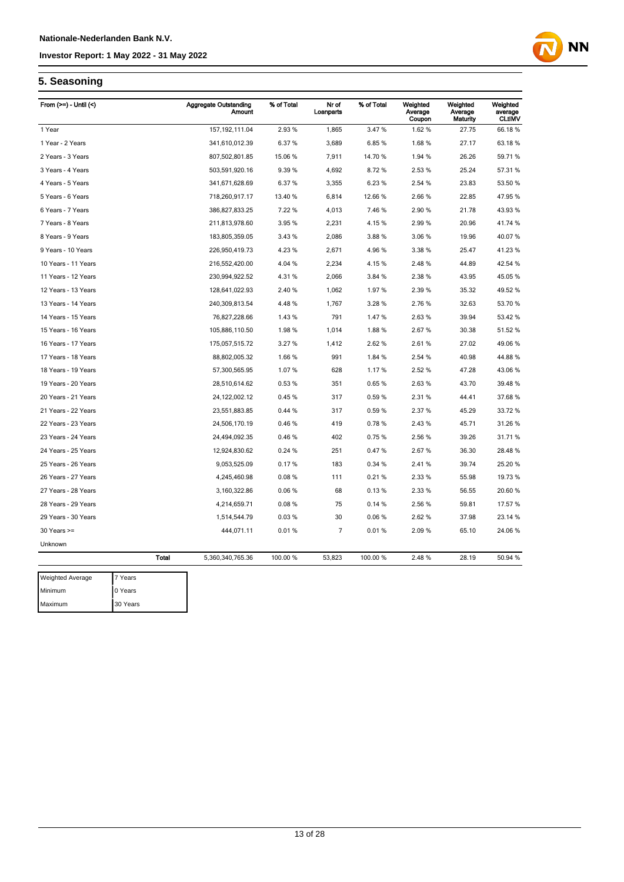

### **5. Seasoning**

| From $(>=)$ - Until $($ |                 | <b>Aggregate Outstanding</b><br><b>Amount</b> | % of Total | Nr of<br>Loanparts | % of Total | Weighted<br>Average<br>Coupon | Weighted<br>Average<br>Maturity | Weighted<br>average<br><b>CLtIMV</b> |
|-------------------------|-----------------|-----------------------------------------------|------------|--------------------|------------|-------------------------------|---------------------------------|--------------------------------------|
| 1 Year                  |                 | 157, 192, 111.04                              | 2.93%      | 1,865              | 3.47%      | 1.62%                         | 27.75                           | 66.18%                               |
| 1 Year - 2 Years        |                 | 341,610,012.39                                | 6.37%      | 3,689              | 6.85%      | 1.68%                         | 27.17                           | 63.18%                               |
| 2 Years - 3 Years       |                 | 807,502,801.85                                | 15.06 %    | 7,911              | 14.70%     | 1.94 %                        | 26.26                           | 59.71 %                              |
| 3 Years - 4 Years       |                 | 503,591,920.16                                | 9.39 %     | 4,692              | 8.72%      | 2.53%                         | 25.24                           | 57.31 %                              |
| 4 Years - 5 Years       |                 | 341,671,628.69                                | 6.37%      | 3,355              | 6.23%      | 2.54 %                        | 23.83                           | 53.50 %                              |
| 5 Years - 6 Years       |                 | 718,260,917.17                                | 13.40 %    | 6,814              | 12.66%     | 2.66%                         | 22.85                           | 47.95%                               |
| 6 Years - 7 Years       |                 | 386,827,833.25                                | 7.22%      | 4,013              | 7.46%      | 2.90%                         | 21.78                           | 43.93%                               |
| 7 Years - 8 Years       |                 | 211,813,978.60                                | 3.95%      | 2,231              | 4.15%      | 2.99%                         | 20.96                           | 41.74 %                              |
| 8 Years - 9 Years       |                 | 183,805,359.05                                | 3.43 %     | 2,086              | 3.88%      | 3.06 %                        | 19.96                           | 40.07%                               |
| 9 Years - 10 Years      |                 | 226,950,419.73                                | 4.23%      | 2,671              | 4.96%      | 3.38 %                        | 25.47                           | 41.23 %                              |
| 10 Years - 11 Years     |                 | 216,552,420.00                                | 4.04 %     | 2,234              | 4.15%      | 2.48%                         | 44.89                           | 42.54 %                              |
| 11 Years - 12 Years     |                 | 230,994,922.52                                | 4.31%      | 2,066              | 3.84 %     | 2.38%                         | 43.95                           | 45.05 %                              |
| 12 Years - 13 Years     |                 | 128,641,022.93                                | 2.40 %     | 1,062              | 1.97%      | 2.39%                         | 35.32                           | 49.52%                               |
| 13 Years - 14 Years     |                 | 240,309,813.54                                | 4.48%      | 1,767              | 3.28 %     | 2.76%                         | 32.63                           | 53.70 %                              |
| 14 Years - 15 Years     |                 | 76,827,228.66                                 | 1.43%      | 791                | 1.47%      | 2.63%                         | 39.94                           | 53.42%                               |
| 15 Years - 16 Years     |                 | 105,886,110.50                                | 1.98%      | 1,014              | 1.88%      | 2.67%                         | 30.38                           | 51.52%                               |
| 16 Years - 17 Years     |                 | 175,057,515.72                                | 3.27%      | 1,412              | 2.62 %     | 2.61%                         | 27.02                           | 49.06%                               |
| 17 Years - 18 Years     |                 | 88,802,005.32                                 | 1.66%      | 991                | 1.84 %     | 2.54 %                        | 40.98                           | 44.88%                               |
| 18 Years - 19 Years     |                 | 57,300,565.95                                 | 1.07%      | 628                | 1.17%      | 2.52 %                        | 47.28                           | 43.06 %                              |
| 19 Years - 20 Years     |                 | 28,510,614.62                                 | 0.53%      | 351                | 0.65%      | 2.63%                         | 43.70                           | 39.48 %                              |
| 20 Years - 21 Years     |                 | 24,122,002.12                                 | 0.45%      | 317                | 0.59%      | 2.31%                         | 44.41                           | 37.68 %                              |
| 21 Years - 22 Years     |                 | 23,551,883.85                                 | 0.44%      | 317                | 0.59%      | 2.37 %                        | 45.29                           | 33.72 %                              |
| 22 Years - 23 Years     |                 | 24,506,170.19                                 | 0.46%      | 419                | 0.78%      | 2.43%                         | 45.71                           | 31.26 %                              |
| 23 Years - 24 Years     |                 | 24,494,092.35                                 | 0.46%      | 402                | 0.75%      | 2.56 %                        | 39.26                           | 31.71 %                              |
| 24 Years - 25 Years     |                 | 12,924,830.62                                 | 0.24%      | 251                | 0.47%      | 2.67%                         | 36.30                           | 28.48 %                              |
| 25 Years - 26 Years     |                 | 9,053,525.09                                  | 0.17%      | 183                | 0.34%      | 2.41%                         | 39.74                           | 25.20 %                              |
| 26 Years - 27 Years     |                 | 4,245,460.98                                  | 0.08%      | 111                | 0.21%      | 2.33 %                        | 55.98                           | 19.73 %                              |
| 27 Years - 28 Years     |                 | 3,160,322.86                                  | 0.06%      | 68                 | 0.13%      | 2.33 %                        | 56.55                           | 20.60 %                              |
| 28 Years - 29 Years     |                 | 4,214,659.71                                  | 0.08%      | 75                 | 0.14%      | 2.56%                         | 59.81                           | 17.57 %                              |
| 29 Years - 30 Years     |                 | 1,514,544.79                                  | 0.03%      | 30                 | 0.06%      | 2.62%                         | 37.98                           | 23.14 %                              |
| 30 Years >=             |                 | 444,071.11                                    | 0.01%      | $\overline{7}$     | 0.01%      | 2.09%                         | 65.10                           | 24.06%                               |
| Unknown                 |                 |                                               |            |                    |            |                               |                                 |                                      |
|                         | <b>Total</b>    | 5,360,340,765.36                              | 100.00 %   | 53,823             | 100.00 %   | 2.48%                         | 28.19                           | 50.94 %                              |
| Mainhard Ave            | $7$ $V_{2.232}$ |                                               |            |                    |            |                               |                                 |                                      |

| <b>Weighted Average</b> | 7 Years  |
|-------------------------|----------|
| Minimum                 | 0 Years  |
| Maximum                 | 30 Years |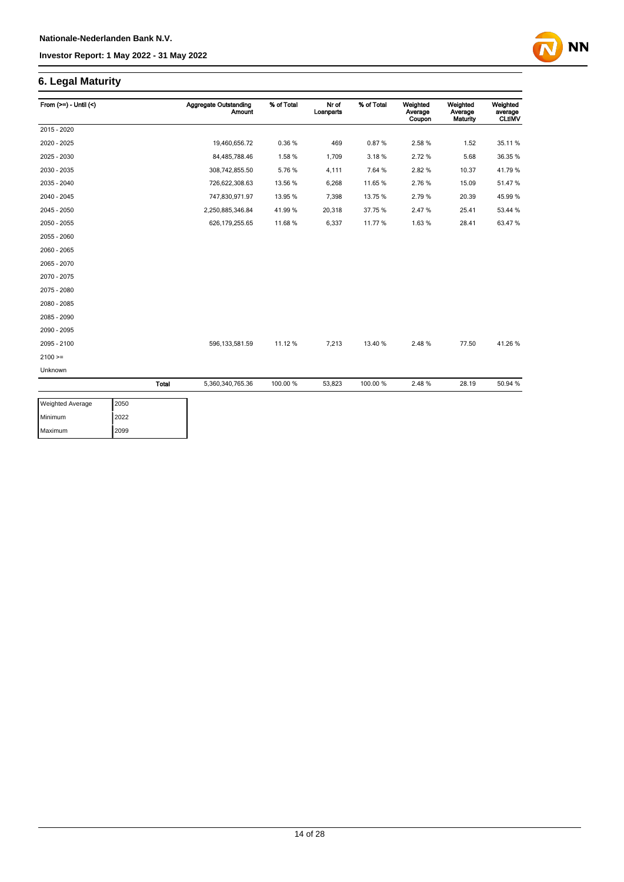### **6. Legal Maturity**

| From $(>=) -$ Until $($ |       | <b>Aggregate Outstanding</b><br>Amount | % of Total | Nr of<br>Loanparts | % of Total | Weighted<br>Average<br>Coupon | Weighted<br>Average<br>Maturity | Weighted<br>average<br><b>CLtIMV</b> |
|-------------------------|-------|----------------------------------------|------------|--------------------|------------|-------------------------------|---------------------------------|--------------------------------------|
| 2015 - 2020             |       |                                        |            |                    |            |                               |                                 |                                      |
| 2020 - 2025             |       | 19,460,656.72                          | 0.36%      | 469                | 0.87%      | 2.58 %                        | 1.52                            | 35.11 %                              |
| 2025 - 2030             |       | 84,485,788.46                          | 1.58%      | 1,709              | 3.18%      | 2.72%                         | 5.68                            | 36.35 %                              |
| 2030 - 2035             |       | 308,742,855.50                         | 5.76%      | 4,111              | 7.64 %     | 2.82%                         | 10.37                           | 41.79%                               |
| 2035 - 2040             |       | 726,622,308.63                         | 13.56 %    | 6,268              | 11.65%     | 2.76%                         | 15.09                           | 51.47%                               |
| 2040 - 2045             |       | 747,830,971.97                         | 13.95 %    | 7,398              | 13.75 %    | 2.79%                         | 20.39                           | 45.99%                               |
| 2045 - 2050             |       | 2,250,885,346.84                       | 41.99%     | 20,318             | 37.75%     | 2.47%                         | 25.41                           | 53.44 %                              |
| 2050 - 2055             |       | 626, 179, 255.65                       | 11.68 %    | 6,337              | 11.77%     | 1.63%                         | 28.41                           | 63.47%                               |
| 2055 - 2060             |       |                                        |            |                    |            |                               |                                 |                                      |
| 2060 - 2065             |       |                                        |            |                    |            |                               |                                 |                                      |
| 2065 - 2070             |       |                                        |            |                    |            |                               |                                 |                                      |
| 2070 - 2075             |       |                                        |            |                    |            |                               |                                 |                                      |
| 2075 - 2080             |       |                                        |            |                    |            |                               |                                 |                                      |
| 2080 - 2085             |       |                                        |            |                    |            |                               |                                 |                                      |
| 2085 - 2090             |       |                                        |            |                    |            |                               |                                 |                                      |
| 2090 - 2095             |       |                                        |            |                    |            |                               |                                 |                                      |
| 2095 - 2100             |       | 596, 133, 581.59                       | 11.12 %    | 7,213              | 13.40%     | 2.48%                         | 77.50                           | 41.26%                               |
| $2100 =$                |       |                                        |            |                    |            |                               |                                 |                                      |
| Unknown                 |       |                                        |            |                    |            |                               |                                 |                                      |
|                         | Total | 5,360,340,765.36                       | 100.00 %   | 53,823             | 100.00 %   | 2.48%                         | 28.19                           | 50.94 %                              |
|                         |       |                                        |            |                    |            |                               |                                 |                                      |

| <b>Weighted Average</b> | 2050 |
|-------------------------|------|
| Minimum                 | 2022 |
| Maximum                 | 2099 |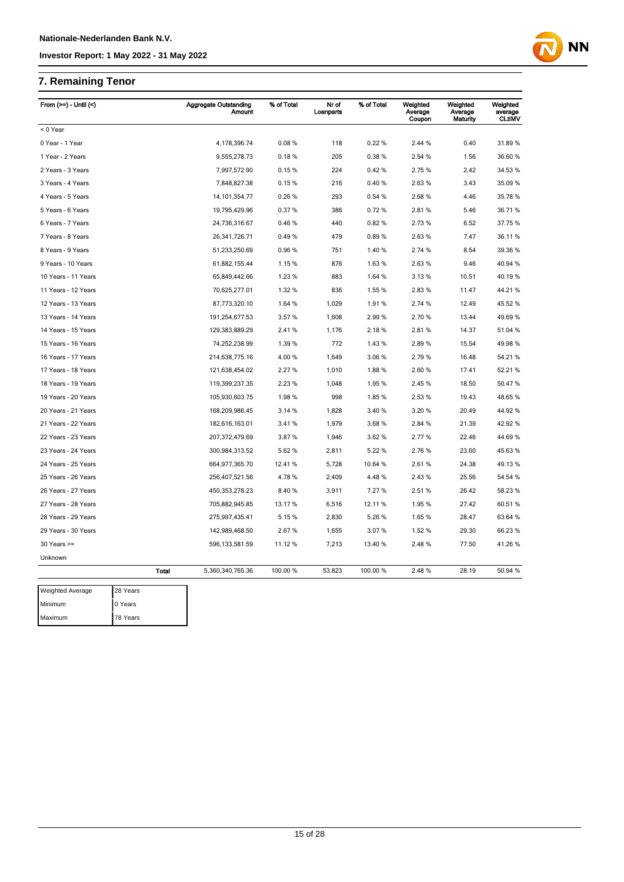### **7. Remaining Tenor**

| From $(>=) -$ Until $($ |              | <b>Aggregate Outstanding</b><br>Amount | % of Total | Nr of<br>Loanparts | % of Total | Weighted<br>Average<br>Coupon | Weighted<br>Average<br>Maturity | Weighted<br>average<br><b>CLtIMV</b> |
|-------------------------|--------------|----------------------------------------|------------|--------------------|------------|-------------------------------|---------------------------------|--------------------------------------|
| < 0 Year                |              |                                        |            |                    |            |                               |                                 |                                      |
| 0 Year - 1 Year         |              | 4,178,396.74                           | 0.08%      | 118                | 0.22%      | 2.44 %                        | 0.40                            | 31.89%                               |
| 1 Year - 2 Years        |              | 9,555,278.73                           | 0.18%      | 205                | 0.38%      | 2.54 %                        | 1.56                            | 36.60 %                              |
| 2 Years - 3 Years       |              | 7,997,572.90                           | 0.15%      | 224                | 0.42%      | 2.75 %                        | 2.42                            | 34.53 %                              |
| 3 Years - 4 Years       |              | 7,848,827.38                           | 0.15%      | 216                | 0.40%      | 2.63%                         | 3.43                            | 35.09 %                              |
| 4 Years - 5 Years       |              | 14, 101, 354. 77                       | 0.26%      | 293                | 0.54 %     | 2.68%                         | 4.46                            | 35.78 %                              |
| 5 Years - 6 Years       |              | 19,795,429.96                          | 0.37%      | 386                | 0.72%      | 2.81%                         | 5.46                            | 36.71 %                              |
| 6 Years - 7 Years       |              | 24,736,316.67                          | 0.46%      | 440                | 0.82%      | 2.73 %                        | 6.52                            | 37.75 %                              |
| 7 Years - 8 Years       |              | 26,341,726.71                          | 0.49%      | 479                | 0.89%      | 2.63%                         | 7.47                            | 36.11 %                              |
| 8 Years - 9 Years       |              | 51,233,250.69                          | 0.96%      | 751                | 1.40 %     | 2.74 %                        | 8.54                            | 39.36 %                              |
| 9 Years - 10 Years      |              | 61,882,155.44                          | 1.15%      | 876                | 1.63%      | 2.63%                         | 9.46                            | 40.94 %                              |
| 10 Years - 11 Years     |              | 65,849,442.66                          | 1.23 %     | 883                | 1.64 %     | 3.13%                         | 10.51                           | 40.19 %                              |
| 11 Years - 12 Years     |              | 70,625,277.01                          | 1.32 %     | 836                | 1.55 %     | 2.83%                         | 11.47                           | 44.21%                               |
| 12 Years - 13 Years     |              | 87,773,320.10                          | 1.64 %     | 1,029              | 1.91%      | 2.74 %                        | 12.49                           | 45.52 %                              |
| 13 Years - 14 Years     |              | 191,254,677.53                         | 3.57 %     | 1,608              | 2.99 %     | 2.70 %                        | 13.44                           | 49.69%                               |
| 14 Years - 15 Years     |              | 129,383,889.29                         | 2.41%      | 1,176              | 2.18%      | 2.81%                         | 14.37                           | 51.04 %                              |
| 15 Years - 16 Years     |              | 74,252,238.99                          | 1.39 %     | 772                | 1.43 %     | 2.89%                         | 15.54                           | 49.98 %                              |
| 16 Years - 17 Years     |              | 214,638,775.16                         | 4.00%      | 1,649              | 3.06%      | 2.79%                         | 16.48                           | 54.21 %                              |
| 17 Years - 18 Years     |              | 121,638,454.02                         | 2.27%      | 1,010              | 1.88%      | 2.60%                         | 17.41                           | 52.21 %                              |
| 18 Years - 19 Years     |              | 119,399,237.35                         | 2.23%      | 1,048              | 1.95%      | 2.45 %                        | 18.50                           | 50.47 %                              |
| 19 Years - 20 Years     |              | 105,930,603.75                         | 1.98%      | 998                | 1.85%      | 2.53 %                        | 19.43                           | 48.65 %                              |
| 20 Years - 21 Years     |              | 168,209,986.45                         | 3.14%      | 1,828              | 3.40%      | 3.20%                         | 20.49                           | 44.92 %                              |
| 21 Years - 22 Years     |              | 182,616,163.01                         | 3.41%      | 1,979              | 3.68%      | 2.84 %                        | 21.39                           | 42.92 %                              |
| 22 Years - 23 Years     |              | 207,372,479.69                         | 3.87%      | 1,946              | 3.62%      | 2.77 %                        | 22.46                           | 44.69%                               |
| 23 Years - 24 Years     |              | 300,984,313.52                         | 5.62 %     | 2,811              | 5.22 %     | 2.76 %                        | 23.60                           | 45.63%                               |
| 24 Years - 25 Years     |              | 664,977,365.70                         | 12.41 %    | 5,728              | 10.64 %    | 2.61%                         | 24.38                           | 49.13%                               |
| 25 Years - 26 Years     |              | 256,407,521.56                         | 4.78%      | 2,409              | 4.48%      | 2.43 %                        | 25.56                           | 54.54 %                              |
| 26 Years - 27 Years     |              | 450, 353, 278. 23                      | 8.40 %     | 3,911              | 7.27 %     | 2.51%                         | 26.42                           | 58.23 %                              |
| 27 Years - 28 Years     |              | 705,882,945.85                         | 13.17 %    | 6,516              | 12.11%     | 1.95%                         | 27.42                           | 60.51 %                              |
| 28 Years - 29 Years     |              | 275,997,435.41                         | 5.15 %     | 2,830              | 5.26 %     | 1.65 %                        | 28.47                           | 63.64 %                              |
| 29 Years - 30 Years     |              | 142,989,468.50                         | 2.67%      | 1,655              | 3.07%      | 1.52 %                        | 29.30                           | 66.23 %                              |
| $30$ Years $>=$         |              | 596, 133, 581.59                       | 11.12 %    | 7,213              | 13.40 %    | 2.48%                         | 77.50                           | 41.26 %                              |
| Unknown                 |              |                                        |            |                    |            |                               |                                 |                                      |
|                         | <b>Total</b> | 5,360,340,765.36                       | 100.00 %   | 53,823             | 100.00 %   | 2.48%                         | 28.19                           | 50.94 %                              |
| Weighted Average        | 28 Years     |                                        |            |                    |            |                               |                                 |                                      |
| Minimum                 | 0 Years      |                                        |            |                    |            |                               |                                 |                                      |
| Maximum                 | 78 Years     |                                        |            |                    |            |                               |                                 |                                      |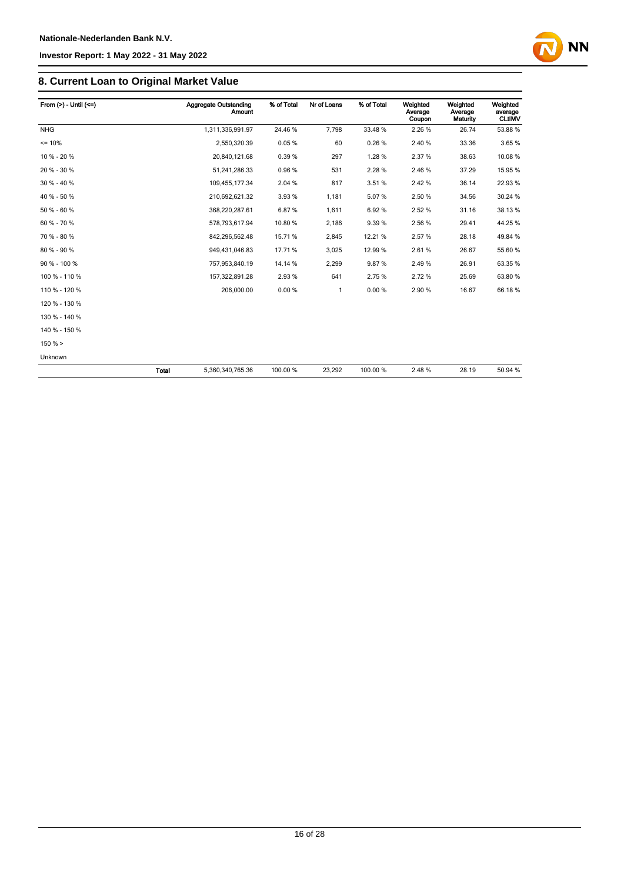

| From $(>) -$ Until $(<=)$ |              | Aggregate Outstanding<br>Amount | % of Total | Nr of Loans  | % of Total | Weighted<br>Average<br>Coupon | Weighted<br>Average<br>Maturity | Weighted<br>average<br><b>CLtIMV</b> |
|---------------------------|--------------|---------------------------------|------------|--------------|------------|-------------------------------|---------------------------------|--------------------------------------|
| <b>NHG</b>                |              | 1,311,336,991.97                | 24.46 %    | 7,798        | 33.48%     | 2.26%                         | 26.74                           | 53.88 %                              |
| $= 10%$                   |              | 2,550,320.39                    | 0.05%      | 60           | 0.26%      | 2.40%                         | 33.36                           | 3.65%                                |
| 10 % - 20 %               |              | 20,840,121.68                   | 0.39%      | 297          | 1.28%      | 2.37%                         | 38.63                           | 10.08%                               |
| 20 % - 30 %               |              | 51,241,286.33                   | 0.96%      | 531          | 2.28%      | 2.46%                         | 37.29                           | 15.95 %                              |
| $30\% - 40\%$             |              | 109,455,177.34                  | 2.04 %     | 817          | 3.51%      | 2.42%                         | 36.14                           | 22.93 %                              |
| 40 % - 50 %               |              | 210,692,621.32                  | 3.93%      | 1,181        | 5.07%      | 2.50%                         | 34.56                           | 30.24 %                              |
| 50 % - 60 %               |              | 368,220,287.61                  | 6.87%      | 1,611        | 6.92%      | 2.52%                         | 31.16                           | 38.13%                               |
| 60 % - 70 %               |              | 578,793,617.94                  | 10.80%     | 2,186        | 9.39%      | 2.56%                         | 29.41                           | 44.25 %                              |
| 70 % - 80 %               |              | 842,296,562.48                  | 15.71 %    | 2,845        | 12.21%     | 2.57%                         | 28.18                           | 49.84 %                              |
| 80 % - 90 %               |              | 949,431,046.83                  | 17.71 %    | 3,025        | 12.99%     | 2.61%                         | 26.67                           | 55.60 %                              |
| 90 % - 100 %              |              | 757,953,840.19                  | 14.14 %    | 2,299        | 9.87%      | 2.49%                         | 26.91                           | 63.35 %                              |
| 100 % - 110 %             |              | 157,322,891.28                  | 2.93 %     | 641          | 2.75%      | 2.72%                         | 25.69                           | 63.80 %                              |
| 110 % - 120 %             |              | 206,000.00                      | 0.00%      | $\mathbf{1}$ | 0.00%      | 2.90%                         | 16.67                           | 66.18%                               |
| 120 % - 130 %             |              |                                 |            |              |            |                               |                                 |                                      |
| 130 % - 140 %             |              |                                 |            |              |            |                               |                                 |                                      |
| 140 % - 150 %             |              |                                 |            |              |            |                               |                                 |                                      |
| 150% >                    |              |                                 |            |              |            |                               |                                 |                                      |
| Unknown                   |              |                                 |            |              |            |                               |                                 |                                      |
|                           | <b>Total</b> | 5,360,340,765.36                | 100.00 %   | 23,292       | 100.00 %   | 2.48%                         | 28.19                           | 50.94 %                              |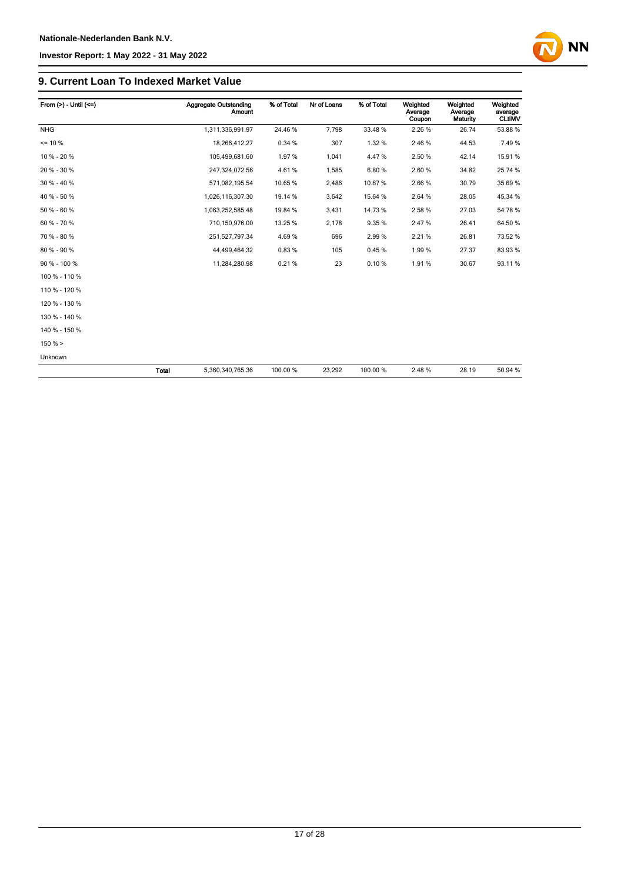

| From $(>) -$ Until $(<=)$ |       | Aggregate Outstanding<br><b>Amount</b> | % of Total | Nr of Loans | % of Total | Weighted<br>Average<br>Coupon | Weighted<br>Average<br><b>Maturity</b> | Weighted<br>average<br><b>CLtIMV</b> |
|---------------------------|-------|----------------------------------------|------------|-------------|------------|-------------------------------|----------------------------------------|--------------------------------------|
| <b>NHG</b>                |       | 1,311,336,991.97                       | 24.46%     | 7,798       | 33.48%     | 2.26 %                        | 26.74                                  | 53.88 %                              |
| $= 10 \%$                 |       | 18,266,412.27                          | 0.34 %     | 307         | 1.32%      | 2.46%                         | 44.53                                  | 7.49%                                |
| 10 % - 20 %               |       | 105,499,681.60                         | 1.97%      | 1,041       | 4.47%      | 2.50 %                        | 42.14                                  | 15.91 %                              |
| 20 % - 30 %               |       | 247,324,072.56                         | 4.61%      | 1,585       | 6.80%      | 2.60%                         | 34.82                                  | 25.74 %                              |
| $30 \% - 40 \%$           |       | 571,082,195.54                         | 10.65%     | 2,486       | 10.67%     | 2.66%                         | 30.79                                  | 35.69 %                              |
| 40 % - 50 %               |       | 1,026,116,307.30                       | 19.14 %    | 3,642       | 15.64 %    | 2.64 %                        | 28.05                                  | 45.34 %                              |
| 50 % - 60 %               |       | 1,063,252,585.48                       | 19.84 %    | 3,431       | 14.73%     | 2.58%                         | 27.03                                  | 54.78%                               |
| 60 % - 70 %               |       | 710,150,976.00                         | 13.25 %    | 2,178       | 9.35%      | 2.47%                         | 26.41                                  | 64.50 %                              |
| 70 % - 80 %               |       | 251,527,797.34                         | 4.69%      | 696         | 2.99%      | 2.21%                         | 26.81                                  | 73.52 %                              |
| 80 % - 90 %               |       | 44,499,464.32                          | 0.83%      | 105         | 0.45%      | 1.99%                         | 27.37                                  | 83.93%                               |
| 90 % - 100 %              |       | 11,284,280.98                          | 0.21%      | 23          | 0.10%      | 1.91%                         | 30.67                                  | 93.11%                               |
| 100 % - 110 %             |       |                                        |            |             |            |                               |                                        |                                      |
| 110 % - 120 %             |       |                                        |            |             |            |                               |                                        |                                      |
| 120 % - 130 %             |       |                                        |            |             |            |                               |                                        |                                      |
| 130 % - 140 %             |       |                                        |            |             |            |                               |                                        |                                      |
| 140 % - 150 %             |       |                                        |            |             |            |                               |                                        |                                      |
| 150% >                    |       |                                        |            |             |            |                               |                                        |                                      |
| Unknown                   |       |                                        |            |             |            |                               |                                        |                                      |
|                           | Total | 5,360,340,765.36                       | 100.00 %   | 23,292      | 100.00 %   | 2.48%                         | 28.19                                  | 50.94 %                              |

17 of 28

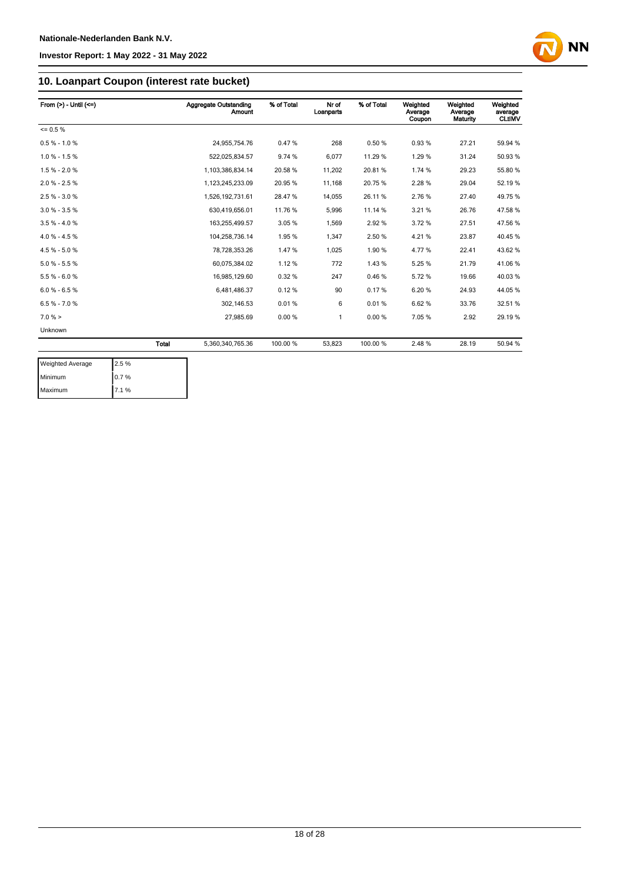

### **10. Loanpart Coupon (interest rate bucket)**

| From $(>) -$ Until $(<=)$ |       | Aggregate Outstanding<br><b>Amount</b> | % of Total | Nr of<br>Loanparts | % of Total | Weighted<br>Average<br>Coupon | Weighted<br>Average<br>Maturity | Weighted<br>average<br><b>CLtIMV</b> |
|---------------------------|-------|----------------------------------------|------------|--------------------|------------|-------------------------------|---------------------------------|--------------------------------------|
| $= 0.5 \%$                |       |                                        |            |                    |            |                               |                                 |                                      |
| $0.5 % - 1.0 %$           |       | 24,955,754.76                          | 0.47%      | 268                | 0.50%      | 0.93%                         | 27.21                           | 59.94 %                              |
| $1.0 \% - 1.5 \%$         |       | 522.025.834.57                         | 9.74 %     | 6,077              | 11.29 %    | 1.29%                         | 31.24                           | 50.93%                               |
| $1.5 \% - 2.0 \%$         |       | 1.103.386.834.14                       | 20.58 %    | 11,202             | 20.81%     | 1.74 %                        | 29.23                           | 55.80 %                              |
| $2.0 \% - 2.5 \%$         |       | 1,123,245,233.09                       | 20.95 %    | 11,168             | 20.75%     | 2.28%                         | 29.04                           | 52.19%                               |
| $2.5% - 3.0%$             |       | 1,526,192,731.61                       | 28.47%     | 14,055             | 26.11%     | 2.76%                         | 27.40                           | 49.75%                               |
| $3.0 \% - 3.5 \%$         |       | 630,419,656.01                         | 11.76%     | 5,996              | 11.14 %    | 3.21%                         | 26.76                           | 47.58 %                              |
| $3.5% - 4.0%$             |       | 163,255,499.57                         | 3.05%      | 1,569              | 2.92%      | 3.72%                         | 27.51                           | 47.56 %                              |
| $4.0 \% - 4.5 \%$         |       | 104,258,736.14                         | 1.95%      | 1,347              | 2.50 %     | 4.21%                         | 23.87                           | 40.45 %                              |
| $4.5% - 5.0%$             |       | 78.728.353.26                          | 1.47%      | 1.025              | 1.90%      | 4.77%                         | 22.41                           | 43.62%                               |
| $5.0 % - 5.5 %$           |       | 60.075.384.02                          | 1.12%      | 772                | 1.43%      | 5.25%                         | 21.79                           | 41.06%                               |
| $5.5 % - 6.0 %$           |       | 16,985,129.60                          | 0.32%      | 247                | 0.46%      | 5.72%                         | 19.66                           | 40.03%                               |
| $6.0 % - 6.5 %$           |       | 6,481,486.37                           | 0.12%      | 90                 | 0.17%      | 6.20%                         | 24.93                           | 44.05%                               |
| $6.5 \% - 7.0 \%$         |       | 302,146.53                             | 0.01%      | 6                  | 0.01%      | 6.62%                         | 33.76                           | 32.51 %                              |
| $7.0 \%$ >                |       | 27,985.69                              | 0.00%      | 1                  | 0.00%      | 7.05%                         | 2.92                            | 29.19 %                              |
| Unknown                   |       |                                        |            |                    |            |                               |                                 |                                      |
|                           | Total | 5,360,340,765.36                       | 100.00 %   | 53,823             | 100.00 %   | 2.48%                         | 28.19                           | 50.94 %                              |

| <b>Weighted Average</b> | 2.5 % |
|-------------------------|-------|
| Minimum                 | 0.7%  |
| Maximum                 | 7.1%  |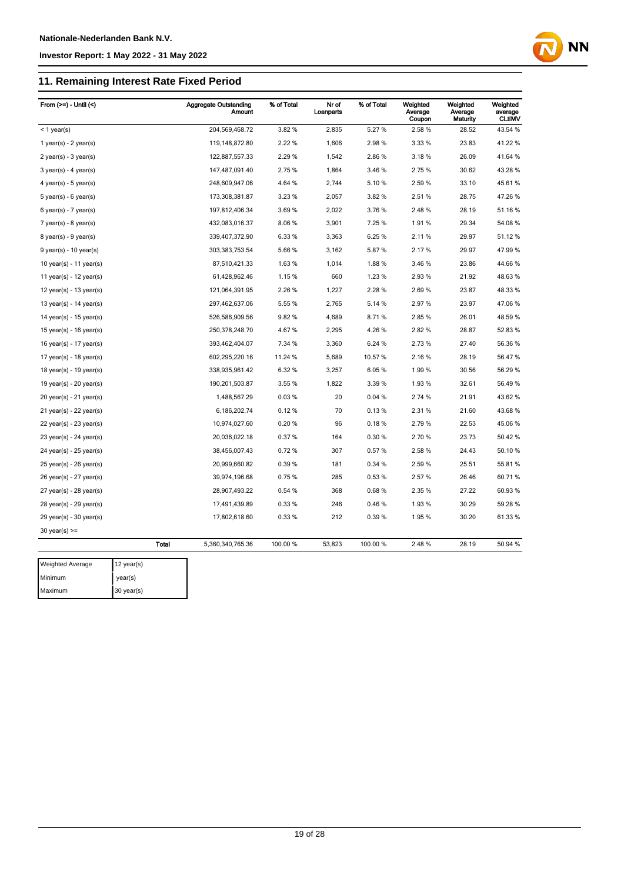#### **11. Remaining Interest Rate Fixed Period**

| From $(>=)$ - Until $($     |              | <b>Aggregate Outstanding</b><br><b>Amount</b> | % of Total | Nr of<br>Loanparts | % of Total | Weighted<br>Average<br>Coupon | Weighted<br>Average<br><b>Maturity</b> | Weighted<br>average<br><b>CLtIMV</b> |
|-----------------------------|--------------|-----------------------------------------------|------------|--------------------|------------|-------------------------------|----------------------------------------|--------------------------------------|
| $<$ 1 year(s)               |              | 204,569,468.72                                | 3.82%      | 2,835              | 5.27%      | 2.58%                         | 28.52                                  | 43.54 %                              |
| 1 year(s) - $2$ year(s)     |              | 119, 148, 872.80                              | 2.22 %     | 1,606              | 2.98%      | 3.33 %                        | 23.83                                  | 41.22 %                              |
| $2$ year(s) - $3$ year(s)   |              | 122,887,557.33                                | 2.29 %     | 1,542              | 2.86%      | 3.18%                         | 26.09                                  | 41.64 %                              |
| $3$ year(s) - 4 year(s)     |              | 147,487,091.40                                | 2.75%      | 1,864              | 3.46%      | 2.75%                         | 30.62                                  | 43.28 %                              |
| $4$ year(s) - $5$ year(s)   |              | 248,609,947.06                                | 4.64 %     | 2,744              | 5.10%      | 2.59%                         | 33.10                                  | 45.61%                               |
| 5 year(s) - 6 year(s)       |              | 173,308,381.87                                | 3.23 %     | 2,057              | 3.82%      | 2.51%                         | 28.75                                  | 47.26 %                              |
| $6$ year(s) - 7 year(s)     |              | 197,812,406.34                                | 3.69%      | 2,022              | 3.76%      | 2.48%                         | 28.19                                  | 51.16%                               |
| $7$ year(s) - 8 year(s)     |              | 432,083,016.37                                | 8.06%      | 3,901              | 7.25 %     | 1.91%                         | 29.34                                  | 54.08 %                              |
| 8 year(s) - 9 year(s)       |              | 339,407,372.90                                | 6.33 %     | 3,363              | 6.25%      | 2.11%                         | 29.97                                  | 51.12 %                              |
| $9$ year(s) - 10 year(s)    |              | 303,383,753.54                                | 5.66%      | 3,162              | 5.87%      | 2.17%                         | 29.97                                  | 47.99%                               |
| 10 year(s) - 11 year(s)     |              | 87,510,421.33                                 | 1.63%      | 1,014              | 1.88%      | 3.46 %                        | 23.86                                  | 44.66 %                              |
| 11 year(s) - $12$ year(s)   |              | 61,428,962.46                                 | 1.15%      | 660                | 1.23 %     | 2.93%                         | 21.92                                  | 48.63%                               |
| 12 year(s) - 13 year(s)     |              | 121,064,391.95                                | 2.26 %     | 1,227              | 2.28%      | 2.69%                         | 23.87                                  | 48.33 %                              |
| 13 year(s) - 14 year(s)     |              | 297,462,637.06                                | 5.55 %     | 2,765              | 5.14 %     | 2.97%                         | 23.97                                  | 47.06%                               |
| 14 year(s) - 15 year(s)     |              | 526,586,909.56                                | 9.82%      | 4,689              | 8.71%      | 2.85%                         | 26.01                                  | 48.59%                               |
| 15 year(s) - 16 year(s)     |              | 250,378,248.70                                | 4.67%      | 2,295              | 4.26%      | 2.82%                         | 28.87                                  | 52.83 %                              |
| 16 year(s) - 17 year(s)     |              | 393,462,404.07                                | 7.34 %     | 3,360              | 6.24 %     | 2.73 %                        | 27.40                                  | 56.36 %                              |
| 17 year(s) - 18 year(s)     |              | 602,295,220.16                                | 11.24 %    | 5,689              | 10.57%     | 2.16%                         | 28.19                                  | 56.47 %                              |
| 18 year(s) - 19 year(s)     |              | 338,935,961.42                                | 6.32%      | 3,257              | 6.05%      | 1.99%                         | 30.56                                  | 56.29 %                              |
| 19 year(s) - $20$ year(s)   |              | 190,201,503.87                                | 3.55 %     | 1,822              | 3.39 %     | 1.93%                         | 32.61                                  | 56.49 %                              |
| 20 year(s) - 21 year(s)     |              | 1,488,567.29                                  | 0.03%      | 20                 | 0.04%      | 2.74 %                        | 21.91                                  | 43.62 %                              |
| $21$ year(s) - 22 year(s)   |              | 6,186,202.74                                  | 0.12%      | 70                 | 0.13%      | 2.31 %                        | 21.60                                  | 43.68 %                              |
| 22 year(s) - 23 year(s)     |              | 10,974,027.60                                 | 0.20%      | 96                 | 0.18%      | 2.79%                         | 22.53                                  | 45.06%                               |
| 23 year(s) - 24 year(s)     |              | 20,036,022.18                                 | 0.37%      | 164                | 0.30%      | 2.70%                         | 23.73                                  | 50.42 %                              |
| $24$ year(s) - $25$ year(s) |              | 38,456,007.43                                 | 0.72%      | 307                | 0.57%      | 2.58%                         | 24.43                                  | 50.10 %                              |
| 25 year(s) - 26 year(s)     |              | 20,999,660.82                                 | 0.39%      | 181                | 0.34%      | 2.59%                         | 25.51                                  | 55.81 %                              |
| 26 year(s) - 27 year(s)     |              | 39,974,196.68                                 | 0.75%      | 285                | 0.53%      | 2.57 %                        | 26.46                                  | 60.71%                               |
| 27 year(s) - 28 year(s)     |              | 28,907,493.22                                 | 0.54 %     | 368                | 0.68%      | 2.35 %                        | 27.22                                  | 60.93%                               |
| $28$ year(s) - $29$ year(s) |              | 17,491,439.89                                 | 0.33%      | 246                | 0.46%      | 1.93%                         | 30.29                                  | 59.28 %                              |
| 29 year(s) - 30 year(s)     |              | 17,802,618.60                                 | 0.33%      | 212                | 0.39%      | 1.95%                         | 30.20                                  | 61.33 %                              |
| $30$ year(s) >=             |              |                                               |            |                    |            |                               |                                        |                                      |
|                             | <b>Total</b> | 5,360,340,765.36                              | 100.00 %   | 53,823             | 100.00%    | 2.48%                         | 28.19                                  | 50.94 %                              |

| <b>Weighted Average</b> | $12$ year(s) |
|-------------------------|--------------|
| Minimum                 | year(s)      |
| Maximum                 | 30 year(s)   |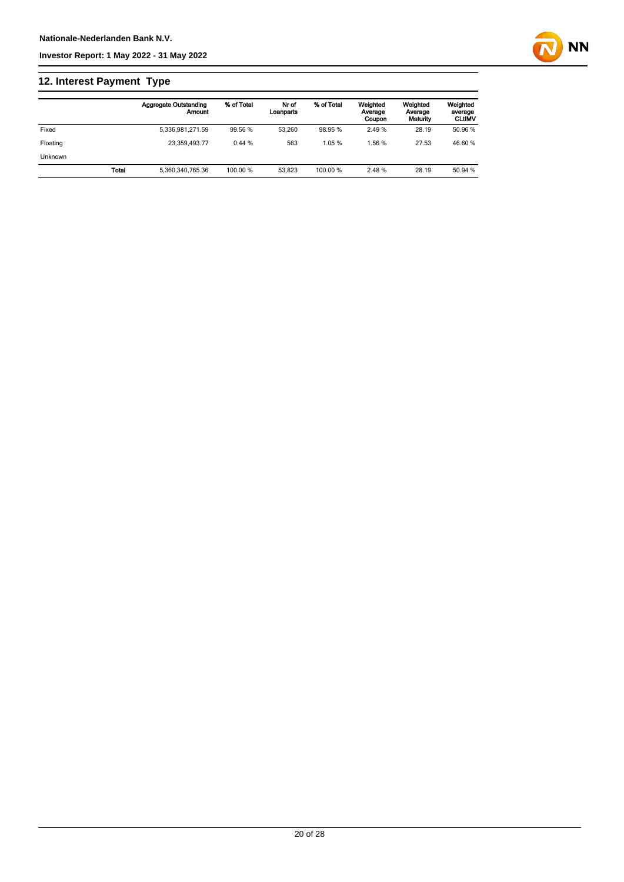

### **12. Interest Payment Type**

|                |       | Aggregate Outstanding<br>Amount | % of Total | Nr of<br>Loanparts | % of Total | Weighted<br>Average<br>Coupon | Weighted<br>Average<br>Maturity | Weighted<br>average<br><b>CLtIMV</b> |
|----------------|-------|---------------------------------|------------|--------------------|------------|-------------------------------|---------------------------------|--------------------------------------|
| Fixed          |       | 5.336.981.271.59                | 99.56 %    | 53.260             | 98.95 %    | 2.49%                         | 28.19                           | 50.96 %                              |
| Floating       |       | 23.359.493.77                   | 0.44%      | 563                | 1.05%      | 1.56 %                        | 27.53                           | 46.60 %                              |
| <b>Unknown</b> |       |                                 |            |                    |            |                               |                                 |                                      |
|                | Total | 5.360.340.765.36                | 100.00 %   | 53.823             | 100.00 %   | 2.48 %                        | 28.19                           | 50.94 %                              |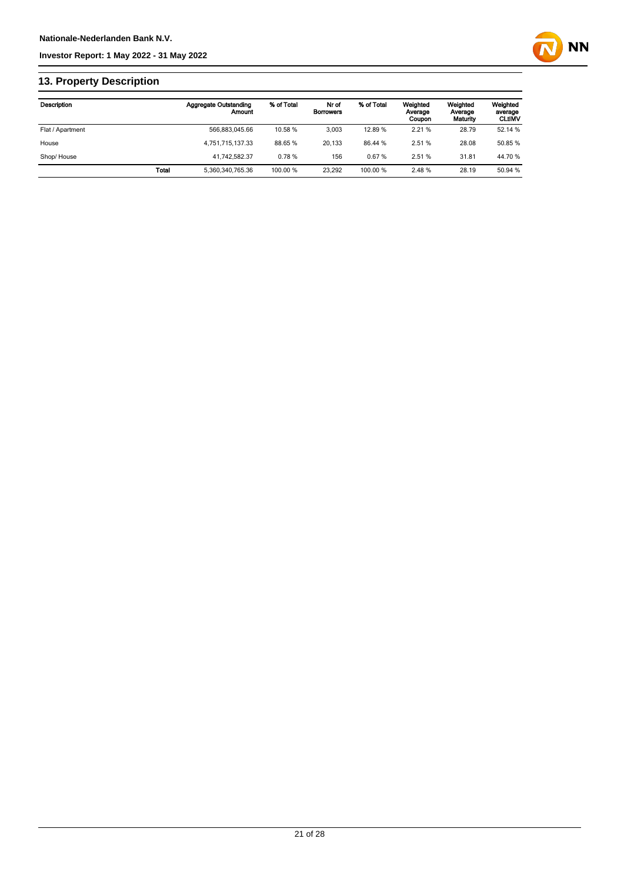

### **13. Property Description**

| Description      |       | Aggregate Outstanding<br>Amount | % of Total | Nr of<br><b>Borrowers</b> | % of Total | Weighted<br>Average<br>Coupon | Weighted<br>Average<br>Maturity | Weighted<br>average<br><b>CLUMV</b> |
|------------------|-------|---------------------------------|------------|---------------------------|------------|-------------------------------|---------------------------------|-------------------------------------|
| Flat / Apartment |       | 566.883.045.66                  | 10.58 %    | 3.003                     | 12.89%     | 2.21%                         | 28.79                           | 52.14 %                             |
| House            |       | 4,751,715,137.33                | 88.65 %    | 20.133                    | 86.44 %    | 2.51 %                        | 28.08                           | 50.85 %                             |
| Shop/House       |       | 41.742.582.37                   | 0.78%      | 156                       | 0.67%      | 2.51 %                        | 31.81                           | 44.70 %                             |
|                  | Total | 5,360,340,765.36                | 100.00 %   | 23.292                    | 100.00 %   | 2.48 %                        | 28.19                           | 50.94 %                             |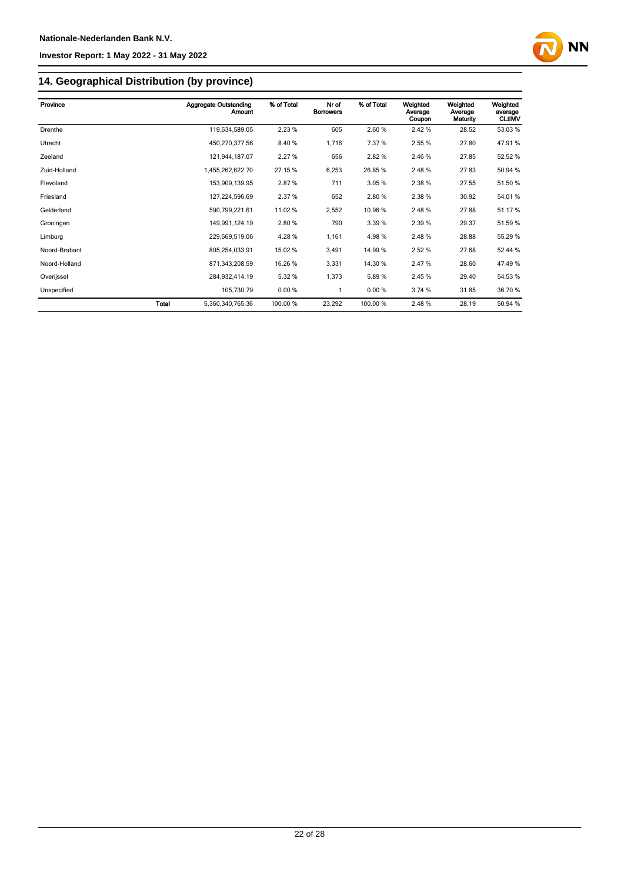

# **14. Geographical Distribution (by province)**

| Province      |       | <b>Aggregate Outstanding</b><br>Amount | % of Total | Nr of<br><b>Borrowers</b> | % of Total | Weighted<br>Average<br>Coupon | Weighted<br>Average<br>Maturity | Weighted<br>average<br><b>CLtIMV</b> |
|---------------|-------|----------------------------------------|------------|---------------------------|------------|-------------------------------|---------------------------------|--------------------------------------|
| Drenthe       |       | 119,634,589.05                         | 2.23%      | 605                       | 2.60%      | 2.42%                         | 28.52                           | 53.03%                               |
| Utrecht       |       | 450,270,377.56                         | 8.40%      | 1,716                     | 7.37 %     | 2.55 %                        | 27.80                           | 47.91%                               |
| Zeeland       |       | 121,944,187.07                         | 2.27%      | 656                       | 2.82%      | 2.46 %                        | 27.85                           | 52.52 %                              |
| Zuid-Holland  |       | 1,455,262,622.70                       | 27.15 %    | 6,253                     | 26.85%     | 2.48%                         | 27.83                           | 50.94 %                              |
| Flevoland     |       | 153,909,139.95                         | 2.87%      | 711                       | 3.05 %     | 2.38 %                        | 27.55                           | 51.50 %                              |
| Friesland     |       | 127,224,596.69                         | 2.37 %     | 652                       | 2.80%      | 2.38 %                        | 30.92                           | 54.01%                               |
| Gelderland    |       | 590,799,221.61                         | 11.02 %    | 2,552                     | 10.96%     | 2.48%                         | 27.88                           | 51.17%                               |
| Groningen     |       | 149,991,124.19                         | 2.80%      | 790                       | 3.39 %     | 2.39 %                        | 29.37                           | 51.59 %                              |
| Limburg       |       | 229,669,519.06                         | 4.28%      | 1,161                     | 4.98%      | 2.48%                         | 28.88                           | 55.29 %                              |
| Noord-Brabant |       | 805,254,033.91                         | 15.02 %    | 3,491                     | 14.99%     | 2.52 %                        | 27.68                           | 52.44 %                              |
| Noord-Holland |       | 871,343,208.59                         | 16.26 %    | 3,331                     | 14.30 %    | 2.47%                         | 28.60                           | 47.49 %                              |
| Overijssel    |       | 284,932,414.19                         | 5.32 %     | 1,373                     | 5.89%      | 2.45 %                        | 29.40                           | 54.53 %                              |
| Unspecified   |       | 105,730.79                             | 0.00%      | 1                         | 0.00%      | 3.74 %                        | 31.85                           | 36.70 %                              |
|               | Total | 5.360.340.765.36                       | 100.00 %   | 23,292                    | 100.00 %   | 2.48%                         | 28.19                           | 50.94 %                              |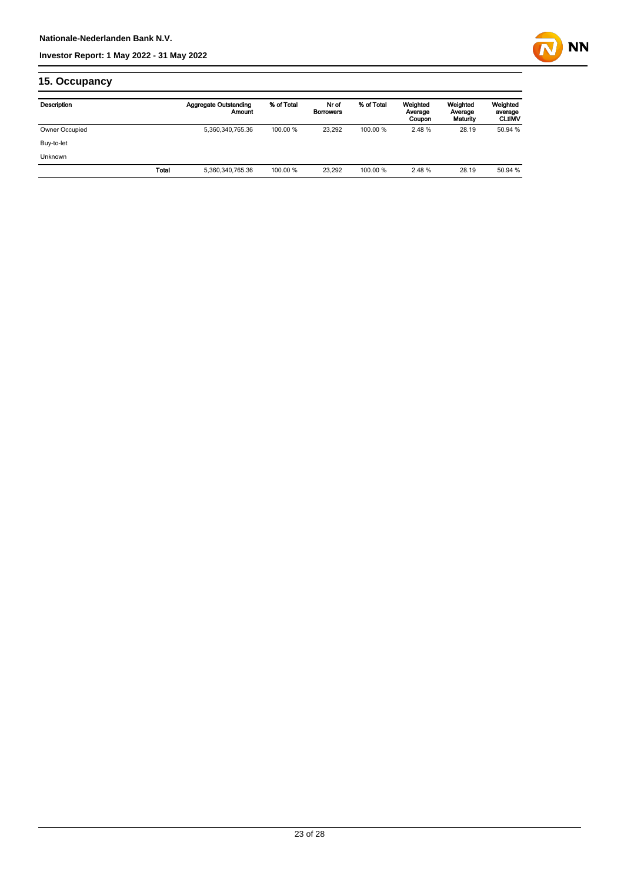

### **15. Occupancy**

| Description    |       | Aggregate Outstanding<br>Amount | % of Total | Nr of<br><b>Borrowers</b> | % of Total | Weighted<br>Average<br>Coupon | Weighted<br>Average<br>Maturity | Weighted<br>average<br><b>CLtIMV</b> |
|----------------|-------|---------------------------------|------------|---------------------------|------------|-------------------------------|---------------------------------|--------------------------------------|
| Owner Occupied |       | 5,360,340,765.36                | 100.00 %   | 23.292                    | 100.00 %   | 2.48%                         | 28.19                           | 50.94 %                              |
| Buy-to-let     |       |                                 |            |                           |            |                               |                                 |                                      |
| <b>Unknown</b> |       |                                 |            |                           |            |                               |                                 |                                      |
|                | Total | 5,360,340,765.36                | 100.00 %   | 23.292                    | 100.00 %   | 2.48%                         | 28.19                           | 50.94 %                              |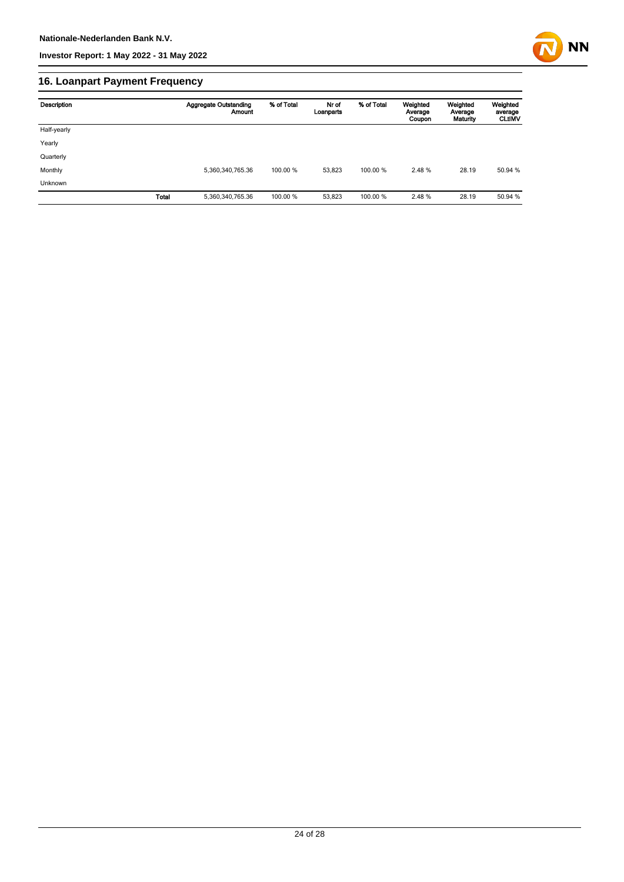

### **16. Loanpart Payment Frequency**

| Description  | <b>Aggregate Outstanding</b><br><b>Amount</b> | % of Total | Nr of<br>Loanparts | % of Total | Weighted<br>Average<br>Coupon | Weighted<br>Average<br>Maturity | Weighted<br>average<br><b>CLUMV</b> |
|--------------|-----------------------------------------------|------------|--------------------|------------|-------------------------------|---------------------------------|-------------------------------------|
| Half-yearly  |                                               |            |                    |            |                               |                                 |                                     |
| Yearly       |                                               |            |                    |            |                               |                                 |                                     |
| Quarterly    |                                               |            |                    |            |                               |                                 |                                     |
| Monthly      | 5,360,340,765.36                              | 100.00 %   | 53.823             | 100.00 %   | 2.48 %                        | 28.19                           | 50.94 %                             |
| Unknown      |                                               |            |                    |            |                               |                                 |                                     |
| <b>Total</b> | 5,360,340,765.36                              | 100.00 %   | 53,823             | 100.00%    | 2.48%                         | 28.19                           | 50.94 %                             |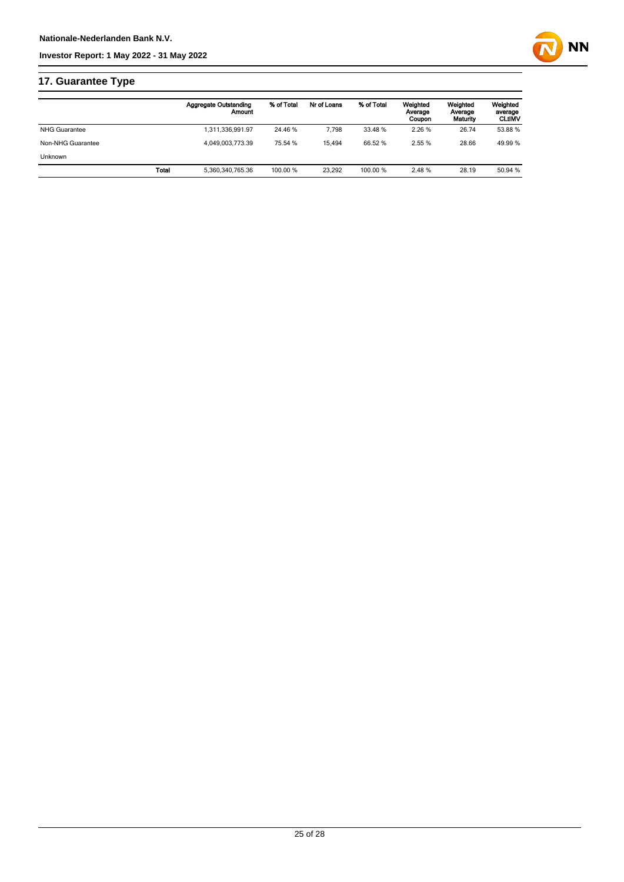

### **17. Guarantee Type**

|                      | <b>Aggregate Outstanding</b><br>Amount | % of Total | Nr of Loans | % of Total | Weighted<br>Average<br>Coupon | Weighted<br>Average<br>Maturity | Weighted<br>average<br><b>CLtIMV</b> |
|----------------------|----------------------------------------|------------|-------------|------------|-------------------------------|---------------------------------|--------------------------------------|
| <b>NHG Guarantee</b> | 1,311,336,991.97                       | 24.46 %    | 7.798       | 33.48 %    | 2.26 %                        | 26.74                           | 53.88 %                              |
| Non-NHG Guarantee    | 4.049.003.773.39                       | 75.54 %    | 15.494      | 66.52 %    | 2.55%                         | 28.66                           | 49.99 %                              |
| <b>Unknown</b>       |                                        |            |             |            |                               |                                 |                                      |
|                      | Total<br>5,360,340,765.36              | 100.00 %   | 23.292      | 100.00 %   | 2.48%                         | 28.19                           | 50.94 %                              |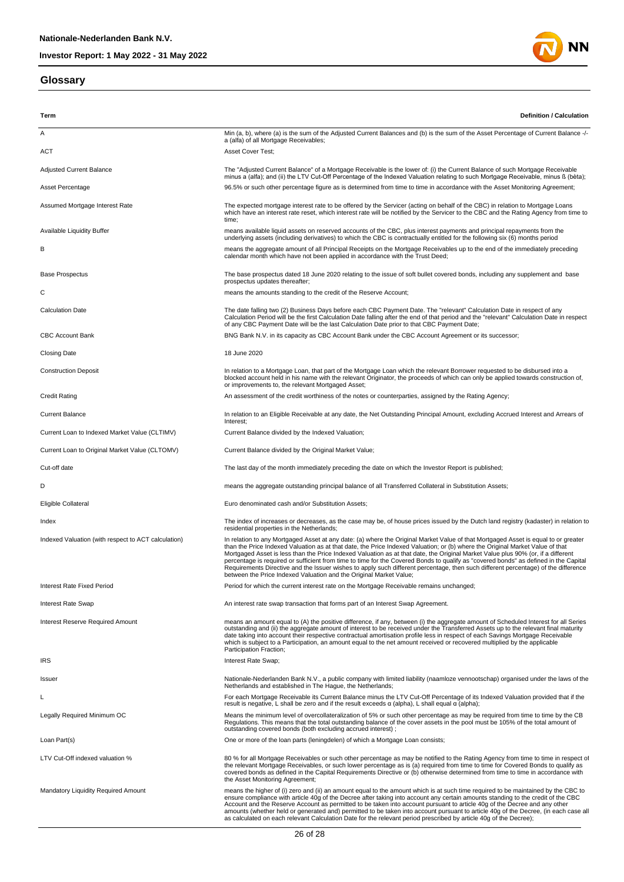#### **Glossary**



| Term                                                | <b>Definition / Calculation</b>                                                                                                                                                                                                                                                                                                                                                                                                                                                                                                                                                                                                                                                                                                                             |
|-----------------------------------------------------|-------------------------------------------------------------------------------------------------------------------------------------------------------------------------------------------------------------------------------------------------------------------------------------------------------------------------------------------------------------------------------------------------------------------------------------------------------------------------------------------------------------------------------------------------------------------------------------------------------------------------------------------------------------------------------------------------------------------------------------------------------------|
| Α                                                   | Min (a, b), where (a) is the sum of the Adjusted Current Balances and (b) is the sum of the Asset Percentage of Current Balance -/-                                                                                                                                                                                                                                                                                                                                                                                                                                                                                                                                                                                                                         |
| <b>ACT</b>                                          | a (alfa) of all Mortgage Receivables;<br>Asset Cover Test;                                                                                                                                                                                                                                                                                                                                                                                                                                                                                                                                                                                                                                                                                                  |
| <b>Adjusted Current Balance</b>                     | The "Adjusted Current Balance" of a Mortgage Receivable is the lower of: (i) the Current Balance of such Mortgage Receivable<br>minus a (alfa); and (ii) the LTV Cut-Off Percentage of the Indexed Valuation relating to such Mortgage Receivable, minus ß (bèta);                                                                                                                                                                                                                                                                                                                                                                                                                                                                                          |
| Asset Percentage                                    | 96.5% or such other percentage figure as is determined from time to time in accordance with the Asset Monitoring Agreement;                                                                                                                                                                                                                                                                                                                                                                                                                                                                                                                                                                                                                                 |
| Assumed Mortgage Interest Rate                      | The expected mortgage interest rate to be offered by the Servicer (acting on behalf of the CBC) in relation to Mortgage Loans<br>which have an interest rate reset, which interest rate will be notified by the Servicer to the CBC and the Rating Agency from time to<br>time;                                                                                                                                                                                                                                                                                                                                                                                                                                                                             |
| Available Liquidity Buffer                          | means available liquid assets on reserved accounts of the CBC, plus interest payments and principal repayments from the<br>underlying assets (including derivatives) to which the CBC is contractually entitled for the following six (6) months period                                                                                                                                                                                                                                                                                                                                                                                                                                                                                                     |
| в                                                   | means the aggregate amount of all Principal Receipts on the Mortgage Receivables up to the end of the immediately preceding<br>calendar month which have not been applied in accordance with the Trust Deed;                                                                                                                                                                                                                                                                                                                                                                                                                                                                                                                                                |
| <b>Base Prospectus</b>                              | The base prospectus dated 18 June 2020 relating to the issue of soft bullet covered bonds, including any supplement and base<br>prospectus updates thereafter;                                                                                                                                                                                                                                                                                                                                                                                                                                                                                                                                                                                              |
| С                                                   | means the amounts standing to the credit of the Reserve Account;                                                                                                                                                                                                                                                                                                                                                                                                                                                                                                                                                                                                                                                                                            |
| <b>Calculation Date</b>                             | The date falling two (2) Business Days before each CBC Payment Date. The "relevant" Calculation Date in respect of any<br>Calculation Period will be the first Calculation Date falling after the end of that period and the "relevant" Calculation Date in respect<br>of any CBC Payment Date will be the last Calculation Date prior to that CBC Payment Date;                                                                                                                                                                                                                                                                                                                                                                                            |
| <b>CBC Account Bank</b>                             | BNG Bank N.V. in its capacity as CBC Account Bank under the CBC Account Agreement or its successor;                                                                                                                                                                                                                                                                                                                                                                                                                                                                                                                                                                                                                                                         |
| <b>Closing Date</b>                                 | 18 June 2020                                                                                                                                                                                                                                                                                                                                                                                                                                                                                                                                                                                                                                                                                                                                                |
| <b>Construction Deposit</b>                         | In relation to a Mortgage Loan, that part of the Mortgage Loan which the relevant Borrower requested to be disbursed into a<br>blocked account held in his name with the relevant Originator, the proceeds of which can only be applied towards construction of,<br>or improvements to, the relevant Mortgaged Asset;                                                                                                                                                                                                                                                                                                                                                                                                                                       |
| <b>Credit Rating</b>                                | An assessment of the credit worthiness of the notes or counterparties, assigned by the Rating Agency;                                                                                                                                                                                                                                                                                                                                                                                                                                                                                                                                                                                                                                                       |
| <b>Current Balance</b>                              | In relation to an Eligible Receivable at any date, the Net Outstanding Principal Amount, excluding Accrued Interest and Arrears of<br>Interest;                                                                                                                                                                                                                                                                                                                                                                                                                                                                                                                                                                                                             |
| Current Loan to Indexed Market Value (CLTIMV)       | Current Balance divided by the Indexed Valuation;                                                                                                                                                                                                                                                                                                                                                                                                                                                                                                                                                                                                                                                                                                           |
| Current Loan to Original Market Value (CLTOMV)      | Current Balance divided by the Original Market Value;                                                                                                                                                                                                                                                                                                                                                                                                                                                                                                                                                                                                                                                                                                       |
| Cut-off date                                        | The last day of the month immediately preceding the date on which the Investor Report is published;                                                                                                                                                                                                                                                                                                                                                                                                                                                                                                                                                                                                                                                         |
| D                                                   | means the aggregate outstanding principal balance of all Transferred Collateral in Substitution Assets;                                                                                                                                                                                                                                                                                                                                                                                                                                                                                                                                                                                                                                                     |
| Eligible Collateral                                 | Euro denominated cash and/or Substitution Assets;                                                                                                                                                                                                                                                                                                                                                                                                                                                                                                                                                                                                                                                                                                           |
| Index                                               | The index of increases or decreases, as the case may be, of house prices issued by the Dutch land registry (kadaster) in relation to<br>residential properties in the Netherlands;                                                                                                                                                                                                                                                                                                                                                                                                                                                                                                                                                                          |
| Indexed Valuation (with respect to ACT calculation) | In relation to any Mortgaged Asset at any date: (a) where the Original Market Value of that Mortgaged Asset is equal to or greater<br>than the Price Indexed Valuation as at that date, the Price Indexed Valuation; or (b) where the Original Market Value of that<br>Mortgaged Asset is less than the Price Indexed Valuation as at that date, the Original Market Value plus 90% (or, if a different<br>percentage is required or sufficient from time to time for the Covered Bonds to qualify as "covered bonds" as defined in the Capital<br>Requirements Directive and the Issuer wishes to apply such different percentage, then such different percentage) of the difference<br>between the Price Indexed Valuation and the Original Market Value; |
| Interest Rate Fixed Period                          | Period for which the current interest rate on the Mortgage Receivable remains unchanged;                                                                                                                                                                                                                                                                                                                                                                                                                                                                                                                                                                                                                                                                    |
| <b>Interest Rate Swap</b>                           | An interest rate swap transaction that forms part of an Interest Swap Agreement.                                                                                                                                                                                                                                                                                                                                                                                                                                                                                                                                                                                                                                                                            |
| <b>Interest Reserve Required Amount</b>             | means an amount equal to (A) the positive difference, if any, between (i) the aggregate amount of Scheduled Interest for all Series<br>outstanding and (ii) the aggregate amount of interest to be received under the Transferred Assets up to the relevant final maturity<br>date taking into account their respective contractual amortisation profile less in respect of each Savings Mortgage Receivable<br>which is subject to a Participation, an amount equal to the net amount received or recovered multiplied by the applicable<br>Participation Fraction;                                                                                                                                                                                        |
| <b>IRS</b>                                          | Interest Rate Swap;                                                                                                                                                                                                                                                                                                                                                                                                                                                                                                                                                                                                                                                                                                                                         |
| Issuer                                              | Nationale-Nederlanden Bank N.V., a public company with limited liability (naamloze vennootschap) organised under the laws of the<br>Netherlands and established in The Haque, the Netherlands;                                                                                                                                                                                                                                                                                                                                                                                                                                                                                                                                                              |
| L                                                   | For each Mortgage Receivable its Current Balance minus the LTV Cut-Off Percentage of its Indexed Valuation provided that if the<br>result is negative, L shall be zero and if the result exceeds $\alpha$ (alpha), L shall equal $\alpha$ (alpha);                                                                                                                                                                                                                                                                                                                                                                                                                                                                                                          |
| Legally Required Minimum OC                         | Means the minimum level of overcollateralization of 5% or such other percentage as may be required from time to time by the CB<br>Regulations. This means that the total outstanding balance of the cover assets in the pool must be 105% of the total amount of<br>outstanding covered bonds (both excluding accrued interest);                                                                                                                                                                                                                                                                                                                                                                                                                            |
| Loan Part(s)                                        | One or more of the loan parts (leningdelen) of which a Mortgage Loan consists;                                                                                                                                                                                                                                                                                                                                                                                                                                                                                                                                                                                                                                                                              |
| LTV Cut-Off indexed valuation %                     | 80 % for all Mortgage Receivables or such other percentage as may be notified to the Rating Agency from time to time in respect of<br>the relevant Mortgage Receivables, or such lower percentage as is (a) required from time to time for Covered Bonds to qualify as<br>covered bonds as defined in the Capital Requirements Directive or (b) otherwise determined from time to time in accordance with<br>the Asset Monitoring Agreement;                                                                                                                                                                                                                                                                                                                |
| Mandatory Liquidity Required Amount                 | means the higher of (i) zero and (ii) an amount equal to the amount which is at such time required to be maintained by the CBC to<br>ensure compliance with article 40g of the Decree after taking into account any certain amounts standing to the credit of the CBC<br>Account and the Reserve Account as permitted to be taken into account pursuant to article 40g of the Decree and any other<br>amounts (whether held or generated and) permitted to be taken into account pursuant to article 40g of the Decree, (in each case all<br>as calculated on each relevant Calculation Date for the relevant period prescribed by article 40g of the Decree);                                                                                              |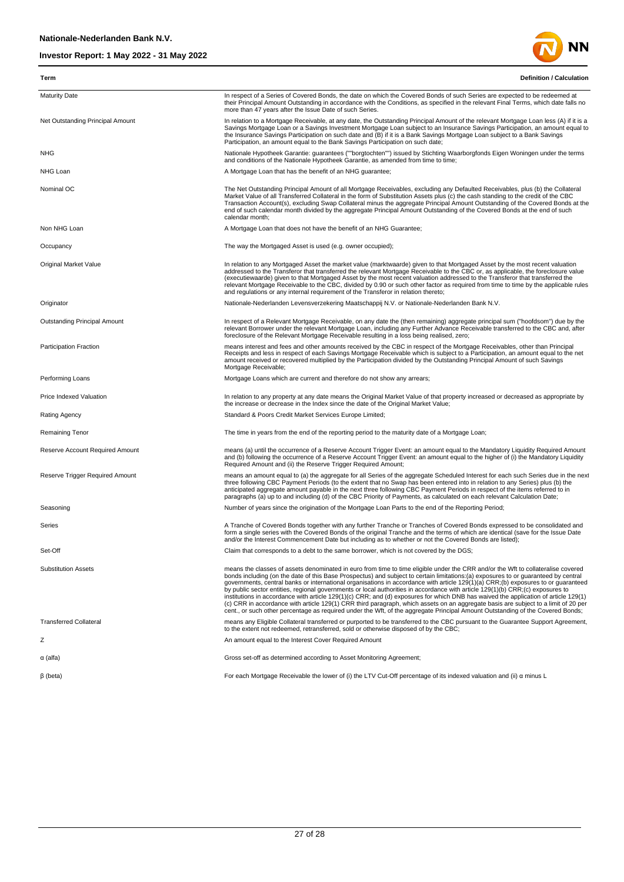

| Term                             | <b>Definition / Calculation</b>                                                                                                                                                                                                                                                                                                                                                                                                                                                                                                                                                                                                                                                                                                                                                                                                                                                                                                                              |
|----------------------------------|--------------------------------------------------------------------------------------------------------------------------------------------------------------------------------------------------------------------------------------------------------------------------------------------------------------------------------------------------------------------------------------------------------------------------------------------------------------------------------------------------------------------------------------------------------------------------------------------------------------------------------------------------------------------------------------------------------------------------------------------------------------------------------------------------------------------------------------------------------------------------------------------------------------------------------------------------------------|
| <b>Maturity Date</b>             | In respect of a Series of Covered Bonds, the date on which the Covered Bonds of such Series are expected to be redeemed at<br>their Principal Amount Outstanding in accordance with the Conditions, as specified in the relevant Final Terms, which date falls no<br>more than 47 years after the Issue Date of such Series.                                                                                                                                                                                                                                                                                                                                                                                                                                                                                                                                                                                                                                 |
| Net Outstanding Principal Amount | In relation to a Mortgage Receivable, at any date, the Outstanding Principal Amount of the relevant Mortgage Loan less (A) if it is a<br>Savings Mortgage Loan or a Savings Investment Mortgage Loan subject to an Insurance Savings Participation, an amount equal to<br>the Insurance Savings Participation on such date and (B) if it is a Bank Savings Mortgage Loan subject to a Bank Savings<br>Participation, an amount equal to the Bank Savings Participation on such date;                                                                                                                                                                                                                                                                                                                                                                                                                                                                         |
| <b>NHG</b>                       | Nationale Hypotheek Garantie: guarantees (""borgtochten"") issued by Stichting Waarborgfonds Eigen Woningen under the terms<br>and conditions of the Nationale Hypotheek Garantie, as amended from time to time;                                                                                                                                                                                                                                                                                                                                                                                                                                                                                                                                                                                                                                                                                                                                             |
| NHG Loan                         | A Mortgage Loan that has the benefit of an NHG guarantee;                                                                                                                                                                                                                                                                                                                                                                                                                                                                                                                                                                                                                                                                                                                                                                                                                                                                                                    |
| Nominal OC                       | The Net Outstanding Principal Amount of all Mortgage Receivables, excluding any Defaulted Receivables, plus (b) the Collateral<br>Market Value of all Transferred Collateral in the form of Substitution Assets plus (c) the cash standing to the credit of the CBC<br>Transaction Account(s), excluding Swap Collateral minus the aggregate Principal Amount Outstanding of the Covered Bonds at the<br>end of such calendar month divided by the aggregate Principal Amount Outstanding of the Covered Bonds at the end of such<br>calendar month;                                                                                                                                                                                                                                                                                                                                                                                                         |
| Non NHG Loan                     | A Mortgage Loan that does not have the benefit of an NHG Guarantee;                                                                                                                                                                                                                                                                                                                                                                                                                                                                                                                                                                                                                                                                                                                                                                                                                                                                                          |
| Occupancy                        | The way the Mortgaged Asset is used (e.g. owner occupied);                                                                                                                                                                                                                                                                                                                                                                                                                                                                                                                                                                                                                                                                                                                                                                                                                                                                                                   |
| <b>Original Market Value</b>     | In relation to any Mortgaged Asset the market value (marktwaarde) given to that Mortgaged Asset by the most recent valuation<br>addressed to the Transferor that transferred the relevant Mortgage Receivable to the CBC or, as applicable, the foreclosure value<br>(executiewaarde) given to that Mortgaged Asset by the most recent valuation addressed to the Transferor that transferred the<br>relevant Mortgage Receivable to the CBC, divided by 0.90 or such other factor as required from time to time by the applicable rules<br>and regulations or any internal requirement of the Transferor in relation thereto;                                                                                                                                                                                                                                                                                                                               |
| Originator                       | Nationale-Nederlanden Levensverzekering Maatschappij N.V. or Nationale-Nederlanden Bank N.V.                                                                                                                                                                                                                                                                                                                                                                                                                                                                                                                                                                                                                                                                                                                                                                                                                                                                 |
| Outstanding Principal Amount     | In respect of a Relevant Mortgage Receivable, on any date the (then remaining) aggregate principal sum ("hoofdsom") due by the<br>relevant Borrower under the relevant Mortgage Loan, including any Further Advance Receivable transferred to the CBC and, after<br>foreclosure of the Relevant Mortgage Receivable resulting in a loss being realised, zero;                                                                                                                                                                                                                                                                                                                                                                                                                                                                                                                                                                                                |
| <b>Participation Fraction</b>    | means interest and fees and other amounts received by the CBC in respect of the Mortgage Receivables, other than Principal<br>Receipts and less in respect of each Savings Mortgage Receivable which is subject to a Participation, an amount equal to the net<br>amount received or recovered multiplied by the Participation divided by the Outstanding Principal Amount of such Savings<br>Mortgage Receivable;                                                                                                                                                                                                                                                                                                                                                                                                                                                                                                                                           |
| Performing Loans                 | Mortgage Loans which are current and therefore do not show any arrears;                                                                                                                                                                                                                                                                                                                                                                                                                                                                                                                                                                                                                                                                                                                                                                                                                                                                                      |
| Price Indexed Valuation          | In relation to any property at any date means the Original Market Value of that property increased or decreased as appropriate by<br>the increase or decrease in the Index since the date of the Original Market Value;                                                                                                                                                                                                                                                                                                                                                                                                                                                                                                                                                                                                                                                                                                                                      |
| <b>Rating Agency</b>             | Standard & Poors Credit Market Services Europe Limited;                                                                                                                                                                                                                                                                                                                                                                                                                                                                                                                                                                                                                                                                                                                                                                                                                                                                                                      |
| Remaining Tenor                  | The time in years from the end of the reporting period to the maturity date of a Mortgage Loan;                                                                                                                                                                                                                                                                                                                                                                                                                                                                                                                                                                                                                                                                                                                                                                                                                                                              |
| Reserve Account Required Amount  | means (a) until the occurrence of a Reserve Account Trigger Event: an amount equal to the Mandatory Liquidity Required Amount<br>and (b) following the occurrence of a Reserve Account Trigger Event: an amount equal to the higher of (i) the Mandatory Liquidity<br>Required Amount and (ii) the Reserve Trigger Required Amount;                                                                                                                                                                                                                                                                                                                                                                                                                                                                                                                                                                                                                          |
| Reserve Trigger Required Amount  | means an amount equal to (a) the aggregate for all Series of the aggregate Scheduled Interest for each such Series due in the next<br>three following CBC Payment Periods (to the extent that no Swap has been entered into in relation to any Series) plus (b) the<br>anticipated aggregate amount payable in the next three following CBC Payment Periods in respect of the items referred to in<br>paragraphs (a) up to and including (d) of the CBC Priority of Payments, as calculated on each relevant Calculation Date;                                                                                                                                                                                                                                                                                                                                                                                                                               |
| Seasoning                        | Number of years since the origination of the Mortgage Loan Parts to the end of the Reporting Period;                                                                                                                                                                                                                                                                                                                                                                                                                                                                                                                                                                                                                                                                                                                                                                                                                                                         |
| Series                           | A Tranche of Covered Bonds together with any further Tranche or Tranches of Covered Bonds expressed to be consolidated and<br>form a single series with the Covered Bonds of the original Tranche and the terms of which are identical (save for the Issue Date<br>and/or the Interest Commencement Date but including as to whether or not the Covered Bonds are listed);                                                                                                                                                                                                                                                                                                                                                                                                                                                                                                                                                                                   |
| Set-Off                          | Claim that corresponds to a debt to the same borrower, which is not covered by the DGS;                                                                                                                                                                                                                                                                                                                                                                                                                                                                                                                                                                                                                                                                                                                                                                                                                                                                      |
| <b>Substitution Assets</b>       | means the classes of assets denominated in euro from time to time eligible under the CRR and/or the Wft to collateralise covered<br>bonds including (on the date of this Base Prospectus) and subject to certain limitations:(a) exposures to or guaranteed by central<br>governments, central banks or international organisations in accordance with article 129(1)(a) CRR;(b) exposures to or guaranteed<br>by public sector entities, regional governments or local authorities in accordance with article 129(1)(b) CRR;(c) exposures to<br>institutions in accordance with article 129(1)(c) CRR; and (d) exposures for which DNB has waived the application of article 129(1)<br>(c) CRR in accordance with article 129(1) CRR third paragraph, which assets on an aggregate basis are subject to a limit of 20 per<br>cent., or such other percentage as required under the Wft, of the aggregate Principal Amount Outstanding of the Covered Bonds; |
| <b>Transferred Collateral</b>    | means any Eligible Collateral transferred or purported to be transferred to the CBC pursuant to the Guarantee Support Agreement,<br>to the extent not redeemed, retransferred, sold or otherwise disposed of by the CBC;                                                                                                                                                                                                                                                                                                                                                                                                                                                                                                                                                                                                                                                                                                                                     |
| Ζ                                | An amount equal to the Interest Cover Required Amount                                                                                                                                                                                                                                                                                                                                                                                                                                                                                                                                                                                                                                                                                                                                                                                                                                                                                                        |
| α (alfa)                         | Gross set-off as determined according to Asset Monitoring Agreement;                                                                                                                                                                                                                                                                                                                                                                                                                                                                                                                                                                                                                                                                                                                                                                                                                                                                                         |
| $\beta$ (beta)                   | For each Mortgage Receivable the lower of (i) the LTV Cut-Off percentage of its indexed valuation and (ii) a minus L                                                                                                                                                                                                                                                                                                                                                                                                                                                                                                                                                                                                                                                                                                                                                                                                                                         |